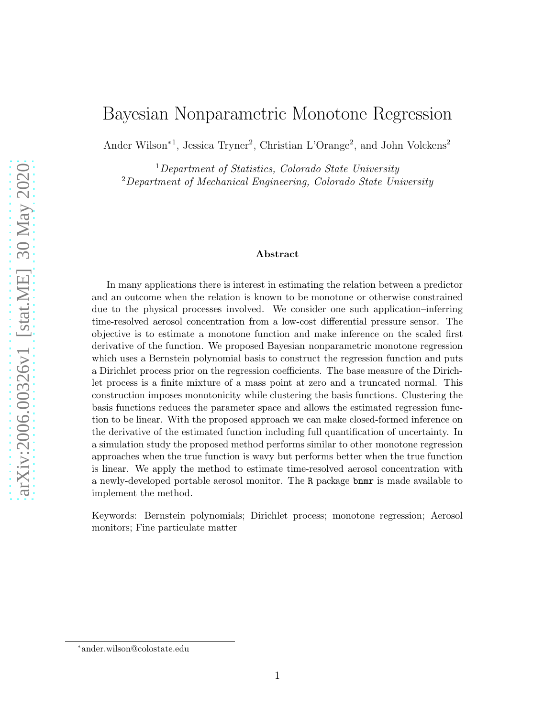# <span id="page-0-0"></span>Bayesian Nonparametric Monotone Regression

Ander Wilson<sup>\*1</sup>, Jessica Tryner<sup>2</sup>, Christian L'Orange<sup>2</sup>, and John Volckens<sup>2</sup>

<sup>1</sup>*Department of Statistics, Colorado State University* <sup>2</sup>*Department of Mechanical Engineering, Colorado State University*

#### Abstract

In many applications there is interest in estimating the relation between a predictor and an outcome when the relation is known to be monotone or otherwise constrained due to the physical processes involved. We consider one such application–inferring time-resolved aerosol concentration from a low-cost differential pressure sensor. The objective is to estimate a monotone function and make inference on the scaled first derivative of the function. We proposed Bayesian nonparametric monotone regression which uses a Bernstein polynomial basis to construct the regression function and puts a Dirichlet process prior on the regression coefficients. The base measure of the Dirichlet process is a finite mixture of a mass point at zero and a truncated normal. This construction imposes monotonicity while clustering the basis functions. Clustering the basis functions reduces the parameter space and allows the estimated regression function to be linear. With the proposed approach we can make closed-formed inference on the derivative of the estimated function including full quantification of uncertainty. In a simulation study the proposed method performs similar to other monotone regression approaches when the true function is wavy but performs better when the true function is linear. We apply the method to estimate time-resolved aerosol concentration with a newly-developed portable aerosol monitor. The R package bnmr is made available to implement the method.

Keywords: Bernstein polynomials; Dirichlet process; monotone regression; Aerosol monitors; Fine particulate matter

<sup>∗</sup>ander.wilson@colostate.edu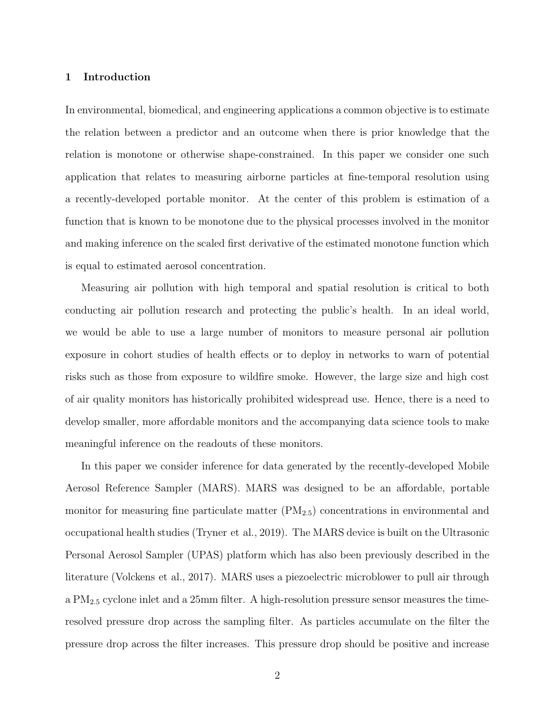## 1 Introduction

In environmental, biomedical, and engineering applications a common objective is to estimate the relation between a predictor and an outcome when there is prior knowledge that the relation is monotone or otherwise shape-constrained. In this paper we consider one such application that relates to measuring airborne particles at fine-temporal resolution using a recently-developed portable monitor. At the center of this problem is estimation of a function that is known to be monotone due to the physical processes involved in the monitor and making inference on the scaled first derivative of the estimated monotone function which is equal to estimated aerosol concentration.

Measuring air pollution with high temporal and spatial resolution is critical to both conducting air pollution research and protecting the public's health. In an ideal world, we would be able to use a large number of monitors to measure personal air pollution exposure in cohort studies of health effects or to deploy in networks to warn of potential risks such as those from exposure to wildfire smoke. However, the large size and high cost of air quality monitors has historically prohibited widespread use. Hence, there is a need to develop smaller, more affordable monitors and the accompanying data science tools to make meaningful inference on the readouts of these monitors.

In this paper we consider inference for data generated by the recently-developed Mobile Aerosol Reference Sampler (MARS). MARS was designed to be an affordable, portable monitor for measuring fine particulate matter  $(PM_{2.5})$  concentrations in environmental and occupational health studies [\(Tryner et al., 2019\)](#page-25-0). The MARS device is built on the Ultrasonic Personal Aerosol Sampler (UPAS) platform which has also been previously described in the literature [\(Volckens et al.](#page-25-1), [2017](#page-25-1)). MARS uses a piezoelectric microblower to pull air through a PM2.<sup>5</sup> cyclone inlet and a 25mm filter. A high-resolution pressure sensor measures the timeresolved pressure drop across the sampling filter. As particles accumulate on the filter the pressure drop across the filter increases. This pressure drop should be positive and increase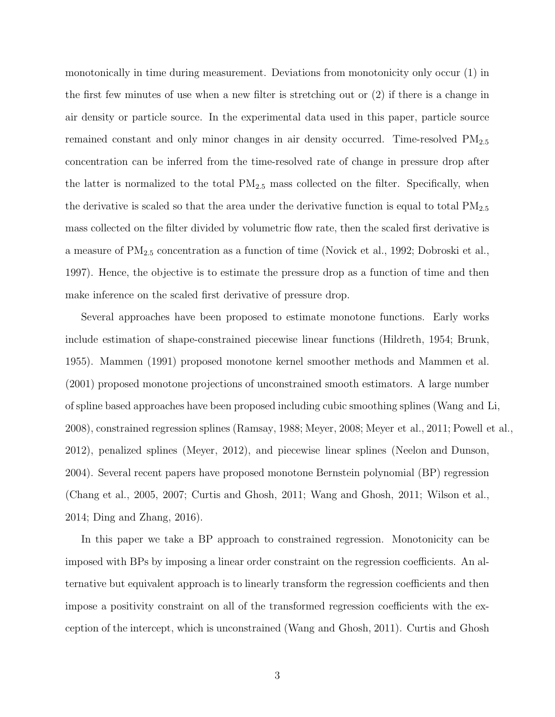monotonically in time during measurement. Deviations from monotonicity only occur (1) in the first few minutes of use when a new filter is stretching out or (2) if there is a change in air density or particle source. In the experimental data used in this paper, particle source remained constant and only minor changes in air density occurred. Time-resolved  $PM_{2.5}$ concentration can be inferred from the time-resolved rate of change in pressure drop after the latter is normalized to the total  $PM_{2.5}$  mass collected on the filter. Specifically, when the derivative is scaled so that the area under the derivative function is equal to total  $PM_{2.5}$ mass collected on the filter divided by volumetric flow rate, then the scaled first derivative is a measure of  $PM_{2.5}$  concentration as a function of time [\(Novick et al., 1992](#page-24-0); [Dobroski et al.,](#page-22-0) [1997\)](#page-22-0). Hence, the objective is to estimate the pressure drop as a function of time and then make inference on the scaled first derivative of pressure drop.

Several approaches have been proposed to estimate monotone functions. Early works include estimation of shape-constrained piecewise linear functions [\(Hildreth](#page-23-0), [1954;](#page-23-0) [Brunk,](#page-21-0) [1955\)](#page-21-0). [Mammen \(1991\)](#page-23-1) proposed monotone kernel smoother methods and [Mammen et al.](#page-23-2) [\(2001\)](#page-23-2) proposed monotone projections of unconstrained smooth estimators. A large number of spline based approaches have been proposed including cubic smoothing splines [\(Wang and Li,](#page-25-2) [2008\)](#page-25-2), constrained regression splines [\(Ramsay, 1988;](#page-24-1) [Meyer](#page-23-3), [2008;](#page-23-3) [Meyer et al.](#page-24-2), [2011](#page-24-2); [Powell et al.](#page-24-3), [2012\)](#page-24-3), penalized splines [\(Meyer](#page-23-4), [2012](#page-23-4)), and piecewise linear splines [\(Neelon and Dunson,](#page-24-4) [2004\)](#page-24-4). Several recent papers have proposed monotone Bernstein polynomial (BP) regression [\(Chang et al., 2005](#page-21-1), [2007](#page-21-2); [Curtis and Ghosh, 2011](#page-22-1); [Wang and Ghosh](#page-25-3), [2011;](#page-25-3) [Wilson et al.,](#page-25-4) [2014;](#page-25-4) [Ding and Zhang, 2016](#page-22-2)).

In this paper we take a BP approach to constrained regression. Monotonicity can be imposed with BPs by imposing a linear order constraint on the regression coefficients. An alternative but equivalent approach is to linearly transform the regression coefficients and then impose a positivity constraint on all of the transformed regression coefficients with the exception of the intercept, which is unconstrained [\(Wang and Ghosh](#page-25-3), [2011](#page-25-3)). [Curtis and Ghosh](#page-22-1)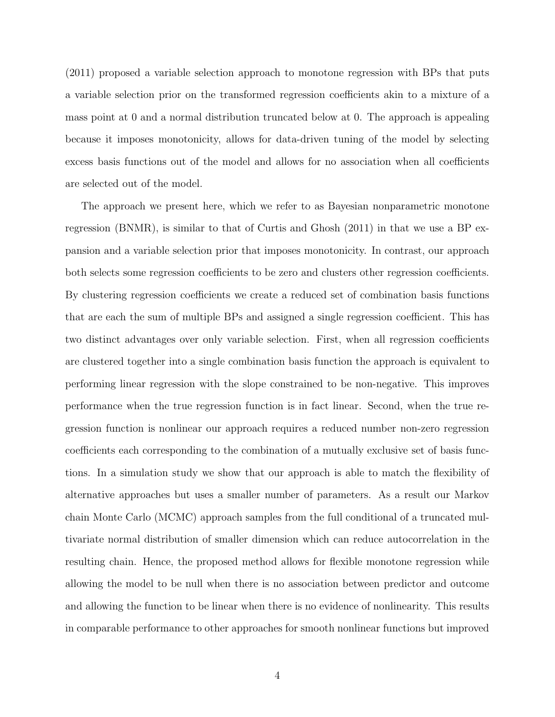[\(2011\)](#page-22-1) proposed a variable selection approach to monotone regression with BPs that puts a variable selection prior on the transformed regression coefficients akin to a mixture of a mass point at 0 and a normal distribution truncated below at 0. The approach is appealing because it imposes monotonicity, allows for data-driven tuning of the model by selecting excess basis functions out of the model and allows for no association when all coefficients are selected out of the model.

The approach we present here, which we refer to as Bayesian nonparametric monotone regression (BNMR), is similar to that of [Curtis and Ghosh \(2011\)](#page-22-1) in that we use a BP expansion and a variable selection prior that imposes monotonicity. In contrast, our approach both selects some regression coefficients to be zero and clusters other regression coefficients. By clustering regression coefficients we create a reduced set of combination basis functions that are each the sum of multiple BPs and assigned a single regression coefficient. This has two distinct advantages over only variable selection. First, when all regression coefficients are clustered together into a single combination basis function the approach is equivalent to performing linear regression with the slope constrained to be non-negative. This improves performance when the true regression function is in fact linear. Second, when the true regression function is nonlinear our approach requires a reduced number non-zero regression coefficients each corresponding to the combination of a mutually exclusive set of basis functions. In a simulation study we show that our approach is able to match the flexibility of alternative approaches but uses a smaller number of parameters. As a result our Markov chain Monte Carlo (MCMC) approach samples from the full conditional of a truncated multivariate normal distribution of smaller dimension which can reduce autocorrelation in the resulting chain. Hence, the proposed method allows for flexible monotone regression while allowing the model to be null when there is no association between predictor and outcome and allowing the function to be linear when there is no evidence of nonlinearity. This results in comparable performance to other approaches for smooth nonlinear functions but improved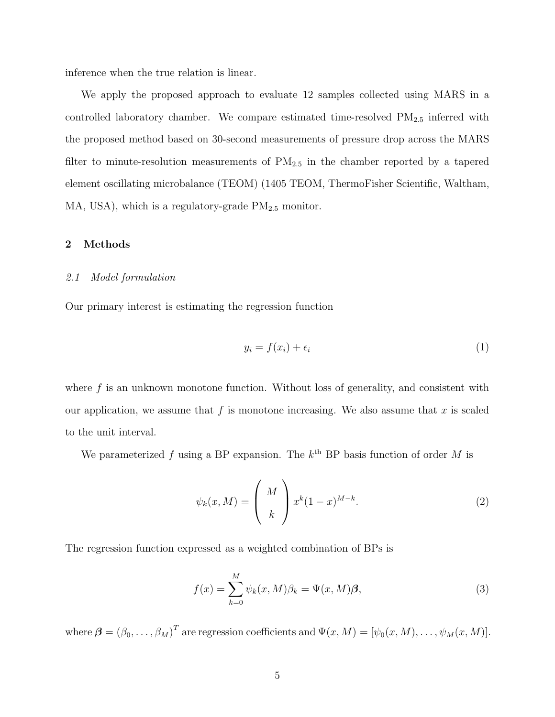inference when the true relation is linear.

We apply the proposed approach to evaluate 12 samples collected using MARS in a controlled laboratory chamber. We compare estimated time-resolved  $PM_{2.5}$  inferred with the proposed method based on 30-second measurements of pressure drop across the MARS filter to minute-resolution measurements of  $PM_{2.5}$  in the chamber reported by a tapered element oscillating microbalance (TEOM) (1405 TEOM, ThermoFisher Scientific, Waltham, MA, USA), which is a regulatory-grade  $PM_{2.5}$  monitor.

## <span id="page-4-1"></span>2 Methods

#### *2.1 Model formulation*

Our primary interest is estimating the regression function

$$
y_i = f(x_i) + \epsilon_i \tag{1}
$$

where  $f$  is an unknown monotone function. Without loss of generality, and consistent with our application, we assume that  $f$  is monotone increasing. We also assume that  $x$  is scaled to the unit interval.

We parameterized f using a BP expansion. The  $k^{\text{th}}$  BP basis function of order M is

$$
\psi_k(x, M) = \left(\begin{array}{c} M \\ k \end{array}\right) x^k (1-x)^{M-k}.\tag{2}
$$

The regression function expressed as a weighted combination of BPs is

<span id="page-4-0"></span>
$$
f(x) = \sum_{k=0}^{M} \psi_k(x, M)\beta_k = \Psi(x, M)\boldsymbol{\beta},\tag{3}
$$

where  $\boldsymbol{\beta} = (\beta_0, \ldots, \beta_M)^T$  are regression coefficients and  $\Psi(x, M) = [\psi_0(x, M), \ldots, \psi_M(x, M)].$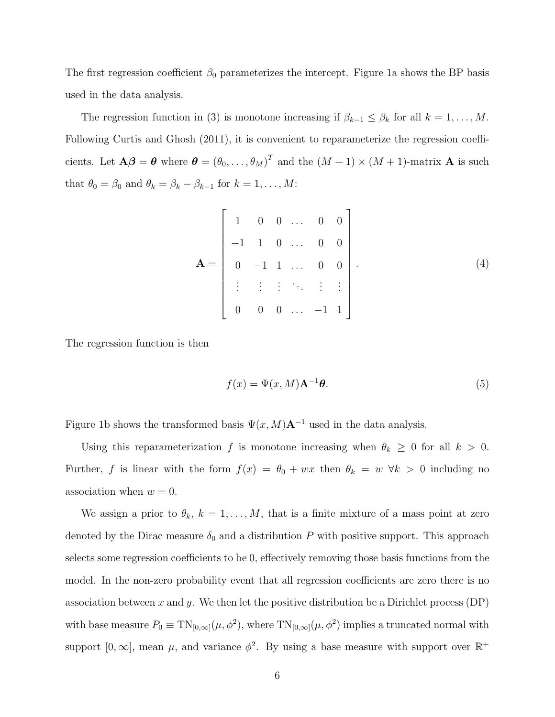The first regression coefficient  $\beta_0$  parameterizes the intercept. Figure [1a](#page-27-0) shows the BP basis used in the data analysis.

The regression function in [\(3\)](#page-4-0) is monotone increasing if  $\beta_{k-1} \leq \beta_k$  for all  $k = 1, ..., M$ . Following [Curtis and Ghosh \(2011\)](#page-22-1), it is convenient to reparameterize the regression coefficients. Let  $\mathbf{A}\boldsymbol{\beta} = \boldsymbol{\theta}$  where  $\boldsymbol{\theta} = (\theta_0, \dots, \theta_M)^T$  and the  $(M+1) \times (M+1)$ -matrix **A** is such that  $\theta_0 = \beta_0$  and  $\theta_k = \beta_k - \beta_{k-1}$  for  $k = 1, ..., M$ :

$$
\mathbf{A} = \begin{bmatrix} 1 & 0 & 0 & \dots & 0 & 0 \\ -1 & 1 & 0 & \dots & 0 & 0 \\ 0 & -1 & 1 & \dots & 0 & 0 \\ \vdots & \vdots & \vdots & \ddots & \vdots & \vdots \\ 0 & 0 & 0 & \dots & -1 & 1 \end{bmatrix} .
$$
 (4)

The regression function is then

$$
f(x) = \Psi(x, M)\mathbf{A}^{-1}\boldsymbol{\theta}.
$$
 (5)

Figure [1b](#page-27-1) shows the transformed basis  $\Psi(x, M)A^{-1}$  used in the data analysis.

Using this reparameterization f is monotone increasing when  $\theta_k \geq 0$  for all  $k > 0$ . Further, f is linear with the form  $f(x) = \theta_0 + wx$  then  $\theta_k = w \forall k > 0$  including no association when  $w = 0$ .

We assign a prior to  $\theta_k$ ,  $k = 1, ..., M$ , that is a finite mixture of a mass point at zero denoted by the Dirac measure  $\delta_0$  and a distribution P with positive support. This approach selects some regression coefficients to be 0, effectively removing those basis functions from the model. In the non-zero probability event that all regression coefficients are zero there is no association between x and y. We then let the positive distribution be a Dirichlet process  $(DP)$ with base measure  $P_0 \equiv \text{TN}_{[0,\infty]}(\mu, \phi^2)$ , where  $\text{TN}_{[0,\infty]}(\mu, \phi^2)$  implies a truncated normal with support  $[0, \infty]$ , mean  $\mu$ , and variance  $\phi^2$ . By using a base measure with support over  $\mathbb{R}^+$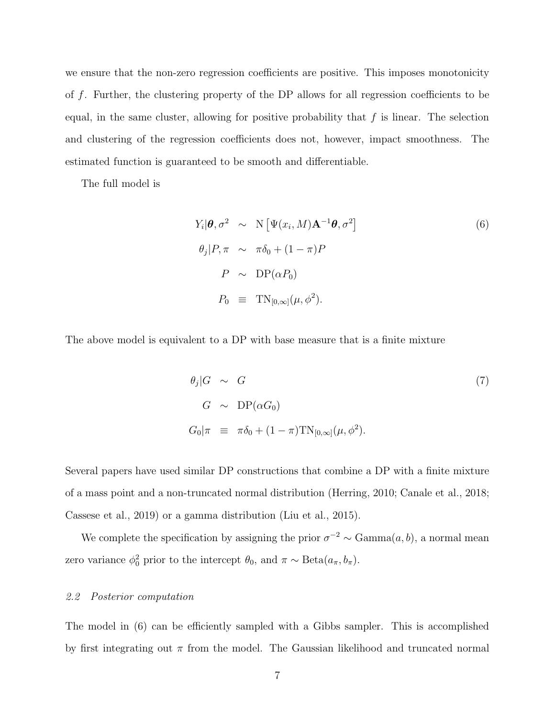we ensure that the non-zero regression coefficients are positive. This imposes monotonicity of f. Further, the clustering property of the DP allows for all regression coefficients to be equal, in the same cluster, allowing for positive probability that  $f$  is linear. The selection and clustering of the regression coefficients does not, however, impact smoothness. The estimated function is guaranteed to be smooth and differentiable.

The full model is

<span id="page-6-0"></span>
$$
Y_i | \boldsymbol{\theta}, \sigma^2 \sim \mathcal{N} \left[ \Psi(x_i, M) \mathbf{A}^{-1} \boldsymbol{\theta}, \sigma^2 \right]
$$
  
\n
$$
\theta_j | P, \pi \sim \pi \delta_0 + (1 - \pi) P
$$
  
\n
$$
P \sim \mathcal{D} \mathcal{P} (\alpha P_0)
$$
  
\n
$$
P_0 \equiv \mathcal{T} \mathcal{N}_{[0,\infty]} (\mu, \phi^2).
$$
  
\n(6)

The above model is equivalent to a DP with base measure that is a finite mixture

$$
\theta_j | G \sim G
$$
  
\n
$$
G \sim \text{DP}(\alpha G_0)
$$
  
\n
$$
G_0 | \pi \equiv \pi \delta_0 + (1 - \pi) \text{TN}_{[0,\infty]}(\mu, \phi^2).
$$
\n(7)

Several papers have used similar DP constructions that combine a DP with a finite mixture of a mass point and a non-truncated normal distribution [\(Herring,](#page-23-5) [2010;](#page-23-5) [Canale et al., 2018;](#page-21-3) [Cassese et al., 2019\)](#page-21-4) or a gamma distribution [\(Liu et al., 2015\)](#page-23-6).

We complete the specification by assigning the prior  $\sigma^{-2} \sim \text{Gamma}(a, b)$ , a normal mean zero variance  $\phi_0^2$  prior to the intercept  $\theta_0$ , and  $\pi \sim \text{Beta}(a_{\pi}, b_{\pi})$ .

### *2.2 Posterior computation*

The model in [\(6\)](#page-6-0) can be efficiently sampled with a Gibbs sampler. This is accomplished by first integrating out  $\pi$  from the model. The Gaussian likelihood and truncated normal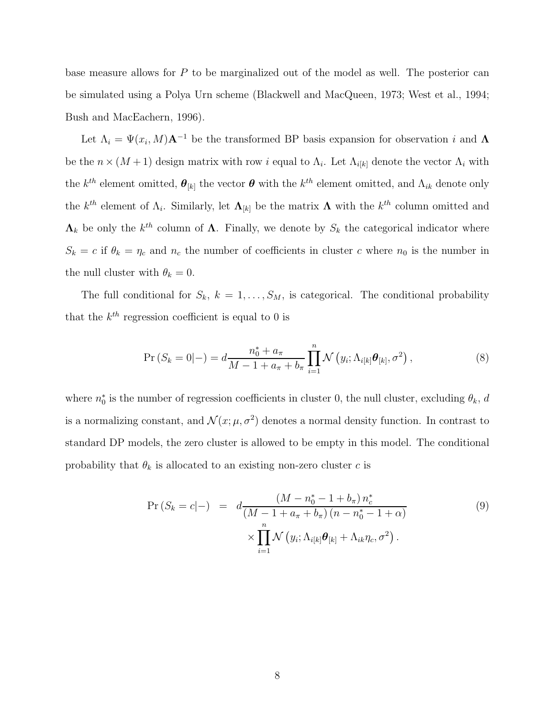base measure allows for P to be marginalized out of the model as well. The posterior can be simulated using a Polya Urn scheme [\(Blackwell and MacQueen](#page-21-5), [1973](#page-21-5); [West et al.](#page-25-5), [1994;](#page-25-5) [Bush and MacEachern, 1996\)](#page-21-6).

Let  $\Lambda_i = \Psi(x_i, M) \mathbf{A}^{-1}$  be the transformed BP basis expansion for observation i and  $\mathbf{\Lambda}$ be the  $n \times (M + 1)$  design matrix with row i equal to  $\Lambda_i$ . Let  $\Lambda_{i[k]}$  denote the vector  $\Lambda_i$  with the  $k^{th}$  element omitted,  $\theta_{[k]}$  the vector  $\theta$  with the  $k^{th}$  element omitted, and  $\Lambda_{ik}$  denote only the  $k^{th}$  element of  $\Lambda_i$ . Similarly, let  $\Lambda_{[k]}$  be the matrix  $\Lambda$  with the  $k^{th}$  column omitted and  $\Lambda_k$  be only the  $k^{th}$  column of  $\Lambda$ . Finally, we denote by  $S_k$  the categorical indicator where  $S_k = c$  if  $\theta_k = \eta_c$  and  $n_c$  the number of coefficients in cluster c where  $n_0$  is the number in the null cluster with  $\theta_k = 0$ .

The full conditional for  $S_k$ ,  $k = 1, \ldots, S_M$ , is categorical. The conditional probability that the  $k^{th}$  regression coefficient is equal to 0 is

$$
\Pr\left(S_k = 0|-\right) = d \frac{n_0^* + a_\pi}{M - 1 + a_\pi + b_\pi} \prod_{i=1}^n \mathcal{N}\left(y_i; \Lambda_{i[k]} \boldsymbol{\theta}_{[k]}, \sigma^2\right),\tag{8}
$$

where  $n_0^*$  is the number of regression coefficients in cluster 0, the null cluster, excluding  $\theta_k$ , d is a normalizing constant, and  $\mathcal{N}(x; \mu, \sigma^2)$  denotes a normal density function. In contrast to standard DP models, the zero cluster is allowed to be empty in this model. The conditional probability that  $\theta_k$  is allocated to an existing non-zero cluster c is

$$
\Pr\left(S_k = c|-\right) = d \frac{\left(M - n_0^* - 1 + b_\pi\right) n_c^*}{\left(M - 1 + a_\pi + b_\pi\right) \left(n - n_0^* - 1 + \alpha\right)} \times \prod_{i=1}^n \mathcal{N}\left(y_i; \Lambda_{i[k]}\boldsymbol{\theta}_{[k]} + \Lambda_{ik}\eta_c, \sigma^2\right).
$$
\n(9)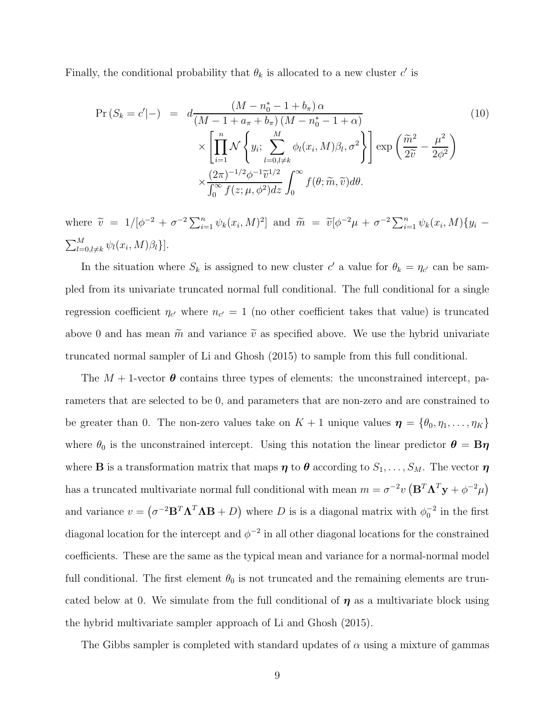Finally, the conditional probability that  $\theta_k$  is allocated to a new cluster  $c'$  is

$$
\Pr\left(S_k = c' | -\right) = d \frac{\left(M - n_0^* - 1 + b_\pi\right) \alpha}{\left(M - 1 + a_\pi + b_\pi\right) \left(M - n_0^* - 1 + \alpha\right)} \times \left[\prod_{i=1}^n \mathcal{N}\left\{y_i; \sum_{l=0, l \neq k}^M \phi_l(x_i, M)\beta_l, \sigma^2\right\}\right] \exp\left(\frac{\widetilde{m}^2}{2\widetilde{v}} - \frac{\mu^2}{2\phi^2}\right) \times \frac{\left(2\pi\right)^{-1/2} \phi^{-1} \widetilde{v}^{1/2}}{\int_0^\infty f(z; \mu, \phi^2) dz} \int_0^\infty f(\theta; \widetilde{m}, \widetilde{v}) d\theta.
$$
\n(10)

where  $\tilde{v} = 1/[\phi^{-2} + \sigma^{-2} \sum_{i=1}^{n} \psi_k(x_i, M)^2]$  and  $\tilde{m} = \tilde{v}[\phi^{-2}\mu + \sigma^{-2} \sum_{i=1}^{n} \psi_k(x_i, M)\{y_i \sum_{l=0,l\neq k}^{M} \psi_l(x_i,M)\beta_l\}.$ 

In the situation where  $S_k$  is assigned to new cluster c' a value for  $\theta_k = \eta_{c'}$  can be sampled from its univariate truncated normal full conditional. The full conditional for a single regression coefficient  $\eta_{c'}$  where  $n_{c'} = 1$  (no other coefficient takes that value) is truncated above 0 and has mean  $\tilde{m}$  and variance  $\tilde{v}$  as specified above. We use the hybrid univariate truncated normal sampler of [Li and Ghosh \(2015\)](#page-23-7) to sample from this full conditional.

The  $M + 1$ -vector  $\boldsymbol{\theta}$  contains three types of elements: the unconstrained intercept, parameters that are selected to be 0, and parameters that are non-zero and are constrained to be greater than 0. The non-zero values take on  $K + 1$  unique values  $\boldsymbol{\eta} = \{\theta_0, \eta_1, \dots, \eta_K\}$ where  $\theta_0$  is the unconstrained intercept. Using this notation the linear predictor  $\theta = B\eta$ where **B** is a transformation matrix that maps  $\eta$  to  $\theta$  according to  $S_1, \ldots, S_M$ . The vector  $\eta$ has a truncated multivariate normal full conditional with mean  $m = \sigma^{-2}v (\mathbf{B}^T \mathbf{\Lambda}^T \mathbf{y} + \phi^{-2} \mu)$ and variance  $v = (\sigma^{-2}B^T\Lambda^T\Lambda B + D)$  where D is is a diagonal matrix with  $\phi_0^{-2}$  in the first diagonal location for the intercept and  $\phi^{-2}$  in all other diagonal locations for the constrained coefficients. These are the same as the typical mean and variance for a normal-normal model full conditional. The first element  $\theta_0$  is not truncated and the remaining elements are truncated below at 0. We simulate from the full conditional of  $\eta$  as a multivariate block using the hybrid multivariate sampler approach of [Li and Ghosh \(2015](#page-23-7)).

The Gibbs sampler is completed with standard updates of  $\alpha$  using a mixture of gammas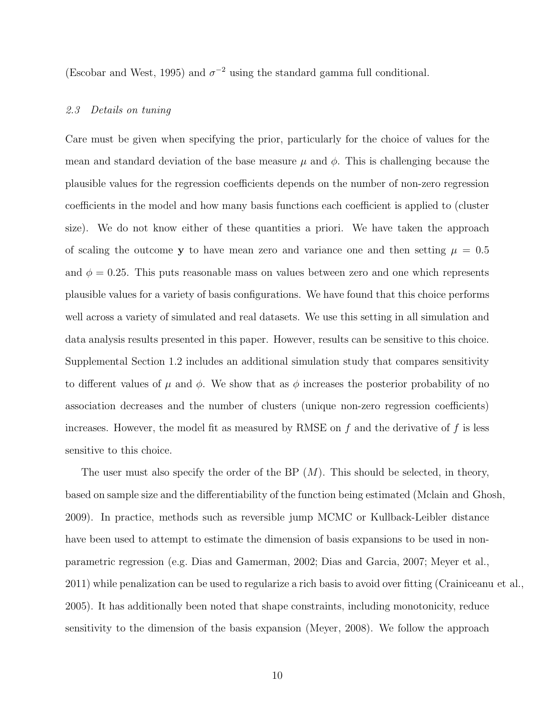[\(Escobar and West](#page-22-3), [1995\)](#page-22-3) and  $\sigma^{-2}$  using the standard gamma full conditional.

### *2.3 Details on tuning*

Care must be given when specifying the prior, particularly for the choice of values for the mean and standard deviation of the base measure  $\mu$  and  $\phi$ . This is challenging because the plausible values for the regression coefficients depends on the number of non-zero regression coefficients in the model and how many basis functions each coefficient is applied to (cluster size). We do not know either of these quantities a priori. We have taken the approach of scaling the outcome y to have mean zero and variance one and then setting  $\mu = 0.5$ and  $\phi = 0.25$ . This puts reasonable mass on values between zero and one which represents plausible values for a variety of basis configurations. We have found that this choice performs well across a variety of simulated and real datasets. We use this setting in all simulation and data analysis results presented in this paper. However, results can be sensitive to this choice. Supplemental Section 1.2 includes an additional simulation study that compares sensitivity to different values of  $\mu$  and  $\phi$ . We show that as  $\phi$  increases the posterior probability of no association decreases and the number of clusters (unique non-zero regression coefficients) increases. However, the model fit as measured by RMSE on  $f$  and the derivative of  $f$  is less sensitive to this choice.

The user must also specify the order of the BP  $(M)$ . This should be selected, in theory, based on sample size and the differentiability of the function being estimated [\(Mclain and Ghosh](#page-23-8), [2009\)](#page-23-8). In practice, methods such as reversible jump MCMC or Kullback-Leibler distance have been used to attempt to estimate the dimension of basis expansions to be used in nonparametric regression (e.g. [Dias and Gamerman](#page-22-4), [2002;](#page-22-4) [Dias and Garcia, 2007](#page-22-5); [Meyer et al.,](#page-24-2) [2011\)](#page-24-2) while penalization can be used to regularize a rich basis to avoid over fitting [\(Crainiceanu et al.,](#page-22-6) [2005\)](#page-22-6). It has additionally been noted that shape constraints, including monotonicity, reduce sensitivity to the dimension of the basis expansion [\(Meyer](#page-23-3), [2008](#page-23-3)). We follow the approach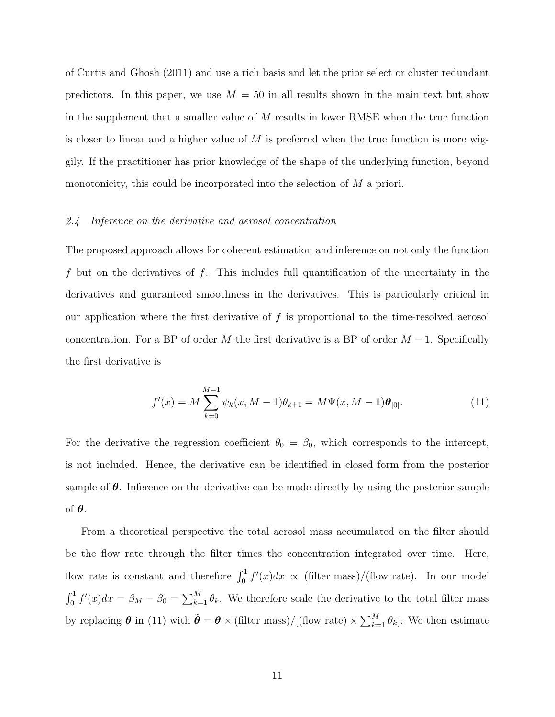of [Curtis and Ghosh \(2011\)](#page-22-1) and use a rich basis and let the prior select or cluster redundant predictors. In this paper, we use  $M = 50$  in all results shown in the main text but show in the supplement that a smaller value of  $M$  results in lower RMSE when the true function is closer to linear and a higher value of  $M$  is preferred when the true function is more wiggily. If the practitioner has prior knowledge of the shape of the underlying function, beyond monotonicity, this could be incorporated into the selection of M a priori.

## <span id="page-10-1"></span>*2.4 Inference on the derivative and aerosol concentration*

The proposed approach allows for coherent estimation and inference on not only the function f but on the derivatives of f. This includes full quantification of the uncertainty in the derivatives and guaranteed smoothness in the derivatives. This is particularly critical in our application where the first derivative of  $f$  is proportional to the time-resolved aerosol concentration. For a BP of order M the first derivative is a BP of order  $M-1$ . Specifically the first derivative is

<span id="page-10-0"></span>
$$
f'(x) = M \sum_{k=0}^{M-1} \psi_k(x, M-1)\theta_{k+1} = M\Psi(x, M-1)\theta_{[0]}.
$$
 (11)

For the derivative the regression coefficient  $\theta_0 = \beta_0$ , which corresponds to the intercept, is not included. Hence, the derivative can be identified in closed form from the posterior sample of  $\theta$ . Inference on the derivative can be made directly by using the posterior sample of θ.

From a theoretical perspective the total aerosol mass accumulated on the filter should be the flow rate through the filter times the concentration integrated over time. Here, flow rate is constant and therefore  $\int_0^1 f'(x)dx \propto (\text{filter mass})/(\text{flow rate})$ . In our model  $\int_0^1 f'(x)dx = \beta_M - \beta_0 = \sum_{k=1}^M \theta_k$ . We therefore scale the derivative to the total filter mass by replacing  $\boldsymbol{\theta}$  in [\(11\)](#page-10-0) with  $\tilde{\boldsymbol{\theta}} = \boldsymbol{\theta} \times (\text{filter mass})/[(\text{flow rate}) \times \sum_{k=1}^{M} \theta_k]$ . We then estimate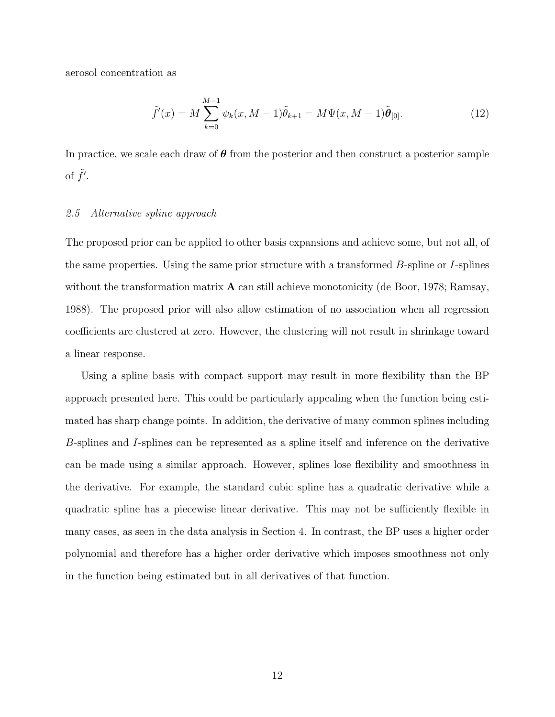aerosol concentration as

$$
\tilde{f}'(x) = M \sum_{k=0}^{M-1} \psi_k(x, M-1) \tilde{\theta}_{k+1} = M \Psi(x, M-1) \tilde{\theta}_{[0]}.
$$
\n(12)

In practice, we scale each draw of  $\theta$  from the posterior and then construct a posterior sample of  $\tilde{f}'$ .

### *2.5 Alternative spline approach*

The proposed prior can be applied to other basis expansions and achieve some, but not all, of the same properties. Using the same prior structure with a transformed  $B$ -spline or I-splines without the transformation matrix  $\bf{A}$  can still achieve monotonicity [\(de Boor](#page-22-7), [1978;](#page-22-7) [Ramsay,](#page-24-1) [1988\)](#page-24-1). The proposed prior will also allow estimation of no association when all regression coefficients are clustered at zero. However, the clustering will not result in shrinkage toward a linear response.

Using a spline basis with compact support may result in more flexibility than the BP approach presented here. This could be particularly appealing when the function being estimated has sharp change points. In addition, the derivative of many common splines including B-splines and I-splines can be represented as a spline itself and inference on the derivative can be made using a similar approach. However, splines lose flexibility and smoothness in the derivative. For example, the standard cubic spline has a quadratic derivative while a quadratic spline has a piecewise linear derivative. This may not be sufficiently flexible in many cases, as seen in the data analysis in Section [4.](#page-14-0) In contrast, the BP uses a higher order polynomial and therefore has a higher order derivative which imposes smoothness not only in the function being estimated but in all derivatives of that function.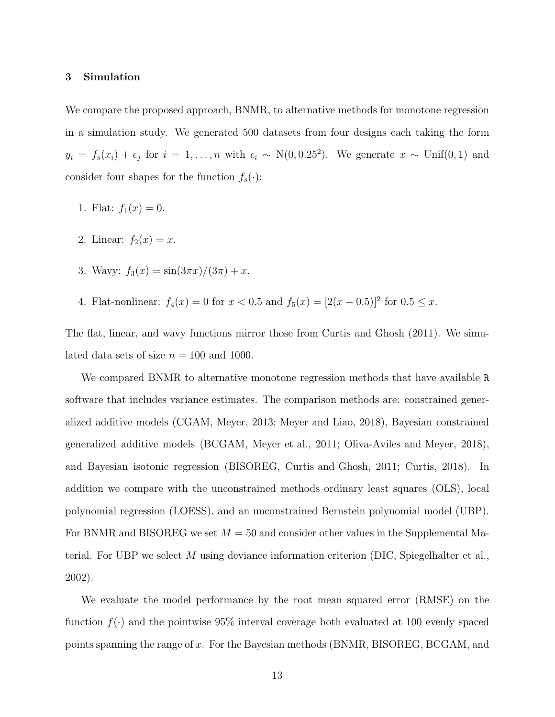#### 3 Simulation

We compare the proposed approach, BNMR, to alternative methods for monotone regression in a simulation study. We generated 500 datasets from four designs each taking the form  $y_i = f_s(x_i) + \epsilon_j$  for  $i = 1, \ldots, n$  with  $\epsilon_i \sim N(0, 0.25^2)$ . We generate  $x \sim \text{Unif}(0, 1)$  and consider four shapes for the function  $f_s(\cdot)$ :

- 1. Flat:  $f_1(x) = 0$ .
- 2. Linear:  $f_2(x) = x$ .
- 3. Wavy:  $f_3(x) = \frac{\sin(3\pi x)}{3\pi} + x$ .
- 4. Flat-nonlinear:  $f_4(x) = 0$  for  $x < 0.5$  and  $f_5(x) = [2(x 0.5)]^2$  for  $0.5 \le x$ .

The flat, linear, and wavy functions mirror those from [Curtis and Ghosh \(2011\)](#page-22-1). We simulated data sets of size  $n = 100$  and 1000.

We compared BNMR to alternative monotone regression methods that have available R software that includes variance estimates. The comparison methods are: constrained generalized additive models (CGAM, [Meyer](#page-24-5), [2013;](#page-24-5) [Meyer and Liao](#page-24-6), [2018](#page-24-6)), Bayesian constrained generalized additive models (BCGAM, [Meyer et al.](#page-24-2), [2011;](#page-24-2) [Oliva-Aviles and Meyer](#page-24-7), [2018](#page-24-7)), and Bayesian isotonic regression (BISOREG, [Curtis and Ghosh](#page-22-1), [2011](#page-22-1); [Curtis](#page-22-8), [2018](#page-22-8)). In addition we compare with the unconstrained methods ordinary least squares (OLS), local polynomial regression (LOESS), and an unconstrained Bernstein polynomial model (UBP). For BNMR and BISOREG we set  $M = 50$  and consider other values in the Supplemental Ma-terial. For UBP we select M using deviance information criterion (DIC, [Spiegelhalter et al.,](#page-24-8) [2002\)](#page-24-8).

We evaluate the model performance by the root mean squared error (RMSE) on the function  $f(\cdot)$  and the pointwise 95% interval coverage both evaluated at 100 evenly spaced points spanning the range of x. For the Bayesian methods (BNMR, BISOREG, BCGAM, and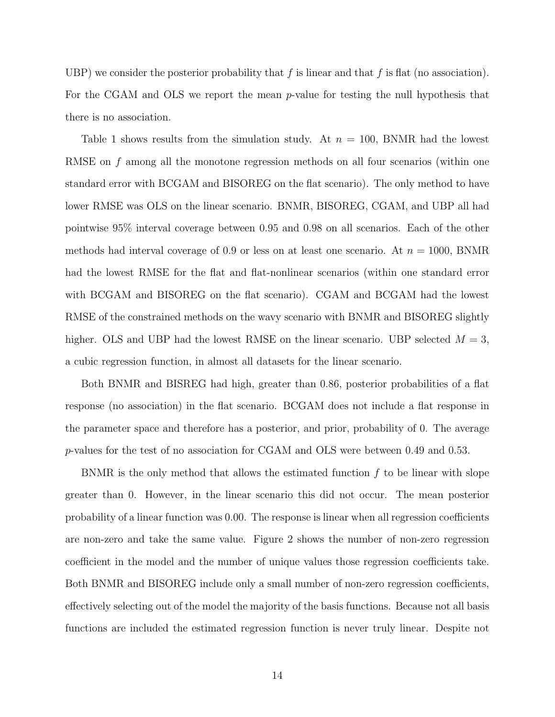UBP) we consider the posterior probability that f is linear and that f is flat (no association). For the CGAM and OLS we report the mean *p*-value for testing the null hypothesis that there is no association.

Table [1](#page-32-0) shows results from the simulation study. At  $n = 100$ , BNMR had the lowest RMSE on f among all the monotone regression methods on all four scenarios (within one standard error with BCGAM and BISOREG on the flat scenario). The only method to have lower RMSE was OLS on the linear scenario. BNMR, BISOREG, CGAM, and UBP all had pointwise 95% interval coverage between 0.95 and 0.98 on all scenarios. Each of the other methods had interval coverage of 0.9 or less on at least one scenario. At  $n = 1000$ , BNMR had the lowest RMSE for the flat and flat-nonlinear scenarios (within one standard error with BCGAM and BISOREG on the flat scenario). CGAM and BCGAM had the lowest RMSE of the constrained methods on the wavy scenario with BNMR and BISOREG slightly higher. OLS and UBP had the lowest RMSE on the linear scenario. UBP selected  $M = 3$ , a cubic regression function, in almost all datasets for the linear scenario.

Both BNMR and BISREG had high, greater than 0.86, posterior probabilities of a flat response (no association) in the flat scenario. BCGAM does not include a flat response in the parameter space and therefore has a posterior, and prior, probability of 0. The average p-values for the test of no association for CGAM and OLS were between 0.49 and 0.53.

BNMR is the only method that allows the estimated function  $f$  to be linear with slope greater than 0. However, in the linear scenario this did not occur. The mean posterior probability of a linear function was 0.00. The response is linear when all regression coefficients are non-zero and take the same value. Figure [2](#page-28-0) shows the number of non-zero regression coefficient in the model and the number of unique values those regression coefficients take. Both BNMR and BISOREG include only a small number of non-zero regression coefficients, effectively selecting out of the model the majority of the basis functions. Because not all basis functions are included the estimated regression function is never truly linear. Despite not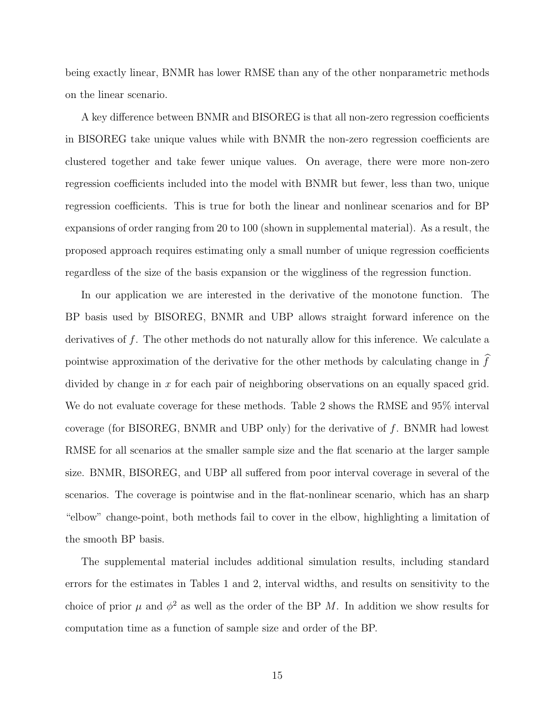being exactly linear, BNMR has lower RMSE than any of the other nonparametric methods on the linear scenario.

A key difference between BNMR and BISOREG is that all non-zero regression coefficients in BISOREG take unique values while with BNMR the non-zero regression coefficients are clustered together and take fewer unique values. On average, there were more non-zero regression coefficients included into the model with BNMR but fewer, less than two, unique regression coefficients. This is true for both the linear and nonlinear scenarios and for BP expansions of order ranging from 20 to 100 (shown in supplemental material). As a result, the proposed approach requires estimating only a small number of unique regression coefficients regardless of the size of the basis expansion or the wiggliness of the regression function.

In our application we are interested in the derivative of the monotone function. The BP basis used by BISOREG, BNMR and UBP allows straight forward inference on the derivatives of f. The other methods do not naturally allow for this inference. We calculate a pointwise approximation of the derivative for the other methods by calculating change in  $f$ divided by change in  $x$  for each pair of neighboring observations on an equally spaced grid. We do not evaluate coverage for these methods. Table [2](#page-33-0) shows the RMSE and 95% interval coverage (for BISOREG, BNMR and UBP only) for the derivative of f. BNMR had lowest RMSE for all scenarios at the smaller sample size and the flat scenario at the larger sample size. BNMR, BISOREG, and UBP all suffered from poor interval coverage in several of the scenarios. The coverage is pointwise and in the flat-nonlinear scenario, which has an sharp "elbow" change-point, both methods fail to cover in the elbow, highlighting a limitation of the smooth BP basis.

<span id="page-14-0"></span>The supplemental material includes additional simulation results, including standard errors for the estimates in Tables [1](#page-32-0) and [2,](#page-33-0) interval widths, and results on sensitivity to the choice of prior  $\mu$  and  $\phi^2$  as well as the order of the BP M. In addition we show results for computation time as a function of sample size and order of the BP.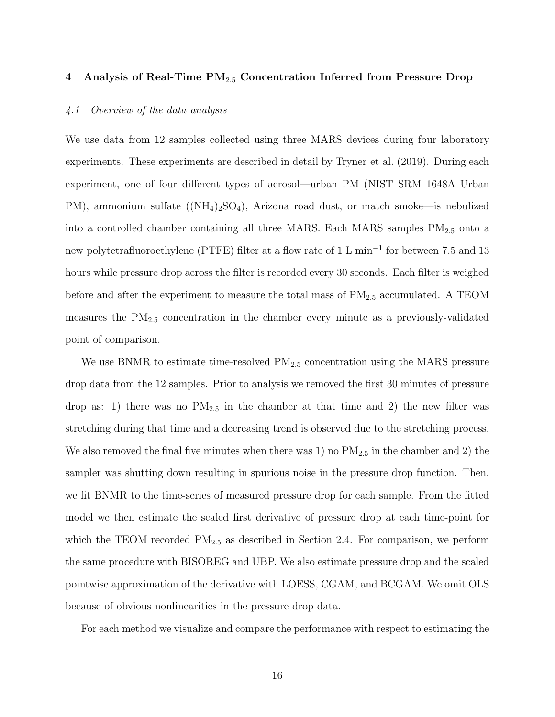## 4 Analysis of Real-Time  $PM_{2.5}$  Concentration Inferred from Pressure Drop

## *4.1 Overview of the data analysis*

We use data from 12 samples collected using three MARS devices during four laboratory experiments. These experiments are described in detail by [Tryner](#page-25-0) et al. [\(2019\)](#page-25-0). During each experiment, one of four different types of aerosol—urban PM (NIST SRM 1648A Urban PM), ammonium sulfate  $((NH_4)_2SO_4)$ , Arizona road dust, or match smoke—is nebulized into a controlled chamber containing all three MARS. Each MARS samples  $PM_{2.5}$  onto a new polytetrafluoroethylene (PTFE) filter at a flow rate of 1 L min<sup>-1</sup> for between 7.5 and 13 hours while pressure drop across the filter is recorded every 30 seconds. Each filter is weighed before and after the experiment to measure the total mass of  $PM_{2.5}$  accumulated. A TEOM measures the  $PM_{2.5}$  concentration in the chamber every minute as a previously-validated point of comparison.

We use BNMR to estimate time-resolved  $PM_{2.5}$  concentration using the MARS pressure drop data from the 12 samples. Prior to analysis we removed the first 30 minutes of pressure drop as: 1) there was no  $PM_{2.5}$  in the chamber at that time and 2) the new filter was stretching during that time and a decreasing trend is observed due to the stretching process. We also removed the final five minutes when there was 1) no  $PM_{2.5}$  in the chamber and 2) the sampler was shutting down resulting in spurious noise in the pressure drop function. Then, we fit BNMR to the time-series of measured pressure drop for each sample. From the fitted model we then estimate the scaled first derivative of pressure drop at each time-point for which the TEOM recorded  $PM_{2.5}$  as described in Section [2.4.](#page-10-1) For comparison, we perform the same procedure with BISOREG and UBP. We also estimate pressure drop and the scaled pointwise approximation of the derivative with LOESS, CGAM, and BCGAM. We omit OLS because of obvious nonlinearities in the pressure drop data.

For each method we visualize and compare the performance with respect to estimating the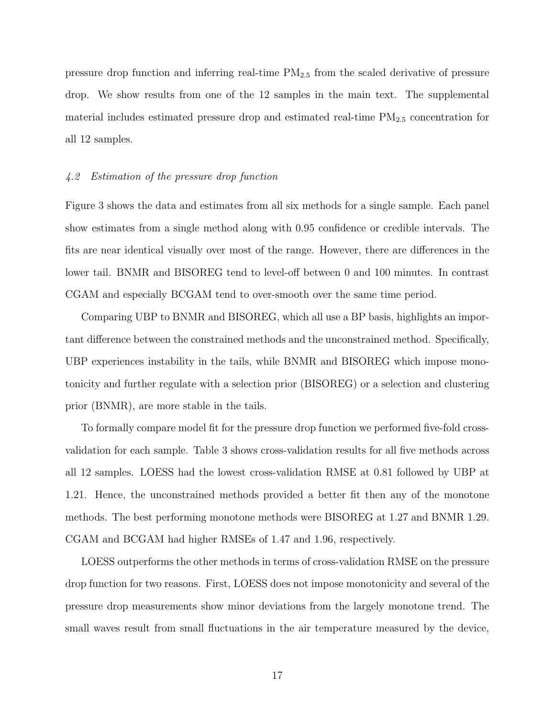pressure drop function and inferring real-time  $PM_{2.5}$  from the scaled derivative of pressure drop. We show results from one of the 12 samples in the main text. The supplemental material includes estimated pressure drop and estimated real-time  $PM_{2.5}$  concentration for all 12 samples.

## *4.2 Estimation of the pressure drop function*

Figure [3](#page-29-0) shows the data and estimates from all six methods for a single sample. Each panel show estimates from a single method along with 0.95 confidence or credible intervals. The fits are near identical visually over most of the range. However, there are differences in the lower tail. BNMR and BISOREG tend to level-off between 0 and 100 minutes. In contrast CGAM and especially BCGAM tend to over-smooth over the same time period.

Comparing UBP to BNMR and BISOREG, which all use a BP basis, highlights an important difference between the constrained methods and the unconstrained method. Specifically, UBP experiences instability in the tails, while BNMR and BISOREG which impose monotonicity and further regulate with a selection prior (BISOREG) or a selection and clustering prior (BNMR), are more stable in the tails.

To formally compare model fit for the pressure drop function we performed five-fold crossvalidation for each sample. Table [3](#page-34-0) shows cross-validation results for all five methods across all 12 samples. LOESS had the lowest cross-validation RMSE at 0.81 followed by UBP at 1.21. Hence, the unconstrained methods provided a better fit then any of the monotone methods. The best performing monotone methods were BISOREG at 1.27 and BNMR 1.29. CGAM and BCGAM had higher RMSEs of 1.47 and 1.96, respectively.

LOESS outperforms the other methods in terms of cross-validation RMSE on the pressure drop function for two reasons. First, LOESS does not impose monotonicity and several of the pressure drop measurements show minor deviations from the largely monotone trend. The small waves result from small fluctuations in the air temperature measured by the device,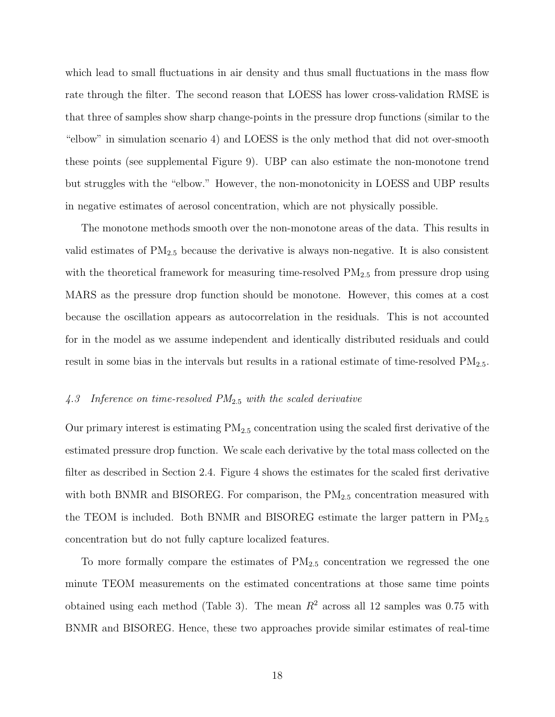which lead to small fluctuations in air density and thus small fluctuations in the mass flow rate through the filter. The second reason that LOESS has lower cross-validation RMSE is that three of samples show sharp change-points in the pressure drop functions (similar to the "elbow" in simulation scenario 4) and LOESS is the only method that did not over-smooth these points (see supplemental Figure 9). UBP can also estimate the non-monotone trend but struggles with the "elbow." However, the non-monotonicity in LOESS and UBP results in negative estimates of aerosol concentration, which are not physically possible.

The monotone methods smooth over the non-monotone areas of the data. This results in valid estimates of  $PM_{2.5}$  because the derivative is always non-negative. It is also consistent with the theoretical framework for measuring time-resolved  $PM_{2.5}$  from pressure drop using MARS as the pressure drop function should be monotone. However, this comes at a cost because the oscillation appears as autocorrelation in the residuals. This is not accounted for in the model as we assume independent and identically distributed residuals and could result in some bias in the intervals but results in a rational estimate of time-resolved  $PM_{2.5}$ .

## *4.3 Inference on time-resolved PM*2.<sup>5</sup> *with the scaled derivative*

Our primary interest is estimating  $PM_{2.5}$  concentration using the scaled first derivative of the estimated pressure drop function. We scale each derivative by the total mass collected on the filter as described in Section [2.4.](#page-10-1) Figure [4](#page-30-0) shows the estimates for the scaled first derivative with both BNMR and BISOREG. For comparison, the  $PM_{2.5}$  concentration measured with the TEOM is included. Both BNMR and BISOREG estimate the larger pattern in  $PM_{2.5}$ concentration but do not fully capture localized features.

To more formally compare the estimates of  $PM_{2.5}$  concentration we regressed the one minute TEOM measurements on the estimated concentrations at those same time points obtained using each method (Table 3). The mean  $R^2$  across all 12 samples was 0.75 with BNMR and BISOREG. Hence, these two approaches provide similar estimates of real-time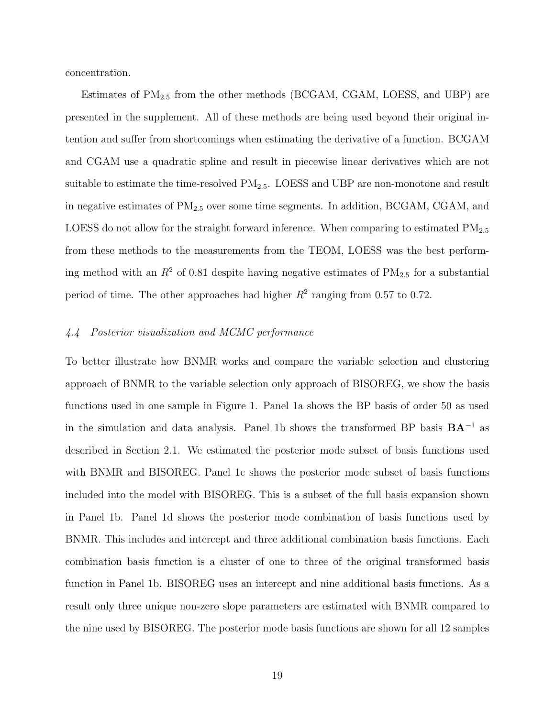concentration.

Estimates of  $PM_{2.5}$  from the other methods (BCGAM, CGAM, LOESS, and UBP) are presented in the supplement. All of these methods are being used beyond their original intention and suffer from shortcomings when estimating the derivative of a function. BCGAM and CGAM use a quadratic spline and result in piecewise linear derivatives which are not suitable to estimate the time-resolved  $PM_{2.5}$ . LOESS and UBP are non-monotone and result in negative estimates of  $PM_{2.5}$  over some time segments. In addition, BCGAM, CGAM, and LOESS do not allow for the straight forward inference. When comparing to estimated  $PM_{2.5}$ from these methods to the measurements from the TEOM, LOESS was the best performing method with an  $R^2$  of 0.81 despite having negative estimates of  $PM_{2.5}$  for a substantial period of time. The other approaches had higher  $R^2$  ranging from 0.57 to 0.72.

## *4.4 Posterior visualization and MCMC performance*

To better illustrate how BNMR works and compare the variable selection and clustering approach of BNMR to the variable selection only approach of BISOREG, we show the basis functions used in one sample in Figure [1.](#page-27-2) Panel [1a](#page-27-0) shows the BP basis of order 50 as used in the simulation and data analysis. Panel [1b](#page-27-1) shows the transformed BP basis BA<sup>−</sup><sup>1</sup> as described in Section [2.1.](#page-4-1) We estimated the posterior mode subset of basis functions used with BNMR and BISOREG. Panel [1c](#page-27-3) shows the posterior mode subset of basis functions included into the model with BISOREG. This is a subset of the full basis expansion shown in Panel [1b.](#page-27-1) Panel [1d](#page-27-4) shows the posterior mode combination of basis functions used by BNMR. This includes and intercept and three additional combination basis functions. Each combination basis function is a cluster of one to three of the original transformed basis function in Panel [1b.](#page-27-1) BISOREG uses an intercept and nine additional basis functions. As a result only three unique non-zero slope parameters are estimated with BNMR compared to the nine used by BISOREG. The posterior mode basis functions are shown for all 12 samples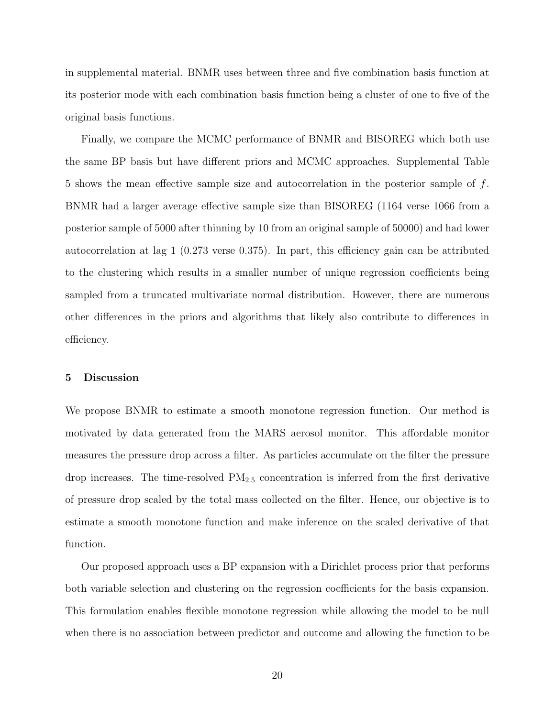in supplemental material. BNMR uses between three and five combination basis function at its posterior mode with each combination basis function being a cluster of one to five of the original basis functions.

Finally, we compare the MCMC performance of BNMR and BISOREG which both use the same BP basis but have different priors and MCMC approaches. Supplemental Table 5 shows the mean effective sample size and autocorrelation in the posterior sample of f. BNMR had a larger average effective sample size than BISOREG (1164 verse 1066 from a posterior sample of 5000 after thinning by 10 from an original sample of 50000) and had lower autocorrelation at lag 1 (0.273 verse 0.375). In part, this efficiency gain can be attributed to the clustering which results in a smaller number of unique regression coefficients being sampled from a truncated multivariate normal distribution. However, there are numerous other differences in the priors and algorithms that likely also contribute to differences in efficiency.

## 5 Discussion

We propose BNMR to estimate a smooth monotone regression function. Our method is motivated by data generated from the MARS aerosol monitor. This affordable monitor measures the pressure drop across a filter. As particles accumulate on the filter the pressure drop increases. The time-resolved  $PM_{2.5}$  concentration is inferred from the first derivative of pressure drop scaled by the total mass collected on the filter. Hence, our objective is to estimate a smooth monotone function and make inference on the scaled derivative of that function.

Our proposed approach uses a BP expansion with a Dirichlet process prior that performs both variable selection and clustering on the regression coefficients for the basis expansion. This formulation enables flexible monotone regression while allowing the model to be null when there is no association between predictor and outcome and allowing the function to be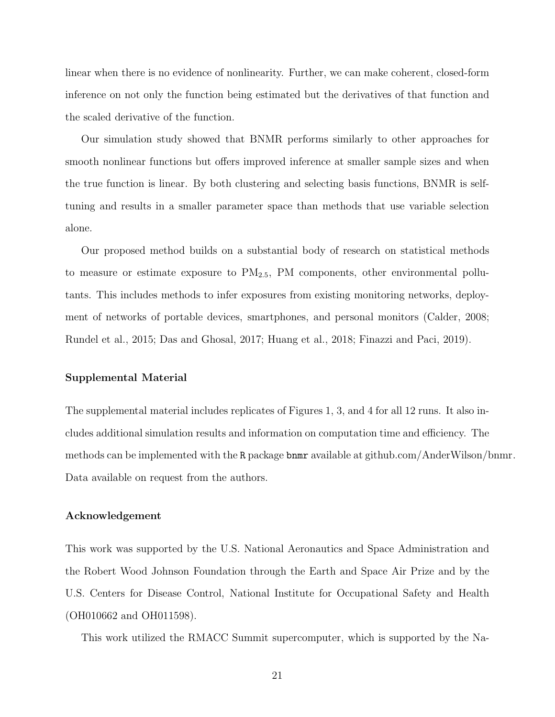linear when there is no evidence of nonlinearity. Further, we can make coherent, closed-form inference on not only the function being estimated but the derivatives of that function and the scaled derivative of the function.

Our simulation study showed that BNMR performs similarly to other approaches for smooth nonlinear functions but offers improved inference at smaller sample sizes and when the true function is linear. By both clustering and selecting basis functions, BNMR is selftuning and results in a smaller parameter space than methods that use variable selection alone.

Our proposed method builds on a substantial body of research on statistical methods to measure or estimate exposure to  $PM_{2.5}$ , PM components, other environmental pollutants. This includes methods to infer exposures from existing monitoring networks, deployment of networks of portable devices, smartphones, and personal monitors [\(Calder](#page-21-7), [2008;](#page-21-7) [Rundel et al.](#page-24-9), [2015](#page-24-9); [Das and Ghosal, 2017](#page-22-9); [Huang et al., 2018](#page-23-9); [Finazzi and Paci, 2019\)](#page-22-10).

#### Supplemental Material

The supplemental material includes replicates of Figures [1,](#page-27-2) [3,](#page-29-0) and [4](#page-30-0) for all 12 runs. It also includes additional simulation results and information on computation time and efficiency. The methods can be implemented with the R package bnmr available at [github.com/AnderWilson/bnmr.](#page-0-0) Data available on request from the authors.

#### Acknowledgement

This work was supported by the U.S. National Aeronautics and Space Administration and the Robert Wood Johnson Foundation through the Earth and Space Air Prize and by the U.S. Centers for Disease Control, National Institute for Occupational Safety and Health (OH010662 and OH011598).

This work utilized the RMACC Summit supercomputer, which is supported by the Na-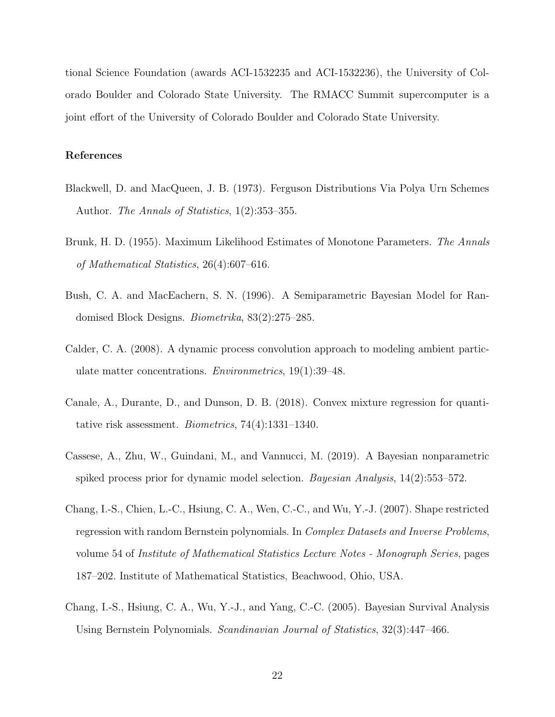tional Science Foundation (awards ACI-1532235 and ACI-1532236), the University of Colorado Boulder and Colorado State University. The RMACC Summit supercomputer is a joint effort of the University of Colorado Boulder and Colorado State University.

## References

- <span id="page-21-5"></span>Blackwell, D. and MacQueen, J. B. (1973). Ferguson Distributions Via Polya Urn Schemes Author. *The Annals of Statistics*, 1(2):353–355.
- <span id="page-21-0"></span>Brunk, H. D. (1955). Maximum Likelihood Estimates of Monotone Parameters. *The Annals of Mathematical Statistics*, 26(4):607–616.
- <span id="page-21-6"></span>Bush, C. A. and MacEachern, S. N. (1996). A Semiparametric Bayesian Model for Randomised Block Designs. *Biometrika*, 83(2):275–285.
- <span id="page-21-7"></span>Calder, C. A. (2008). A dynamic process convolution approach to modeling ambient particulate matter concentrations. *Environmetrics*, 19(1):39–48.
- <span id="page-21-3"></span>Canale, A., Durante, D., and Dunson, D. B. (2018). Convex mixture regression for quantitative risk assessment. *Biometrics*, 74(4):1331–1340.
- <span id="page-21-4"></span>Cassese, A., Zhu, W., Guindani, M., and Vannucci, M. (2019). A Bayesian nonparametric spiked process prior for dynamic model selection. *Bayesian Analysis*, 14(2):553–572.
- <span id="page-21-2"></span>Chang, I.-S., Chien, L.-C., Hsiung, C. A., Wen, C.-C., and Wu, Y.-J. (2007). Shape restricted regression with random Bernstein polynomials. In *Complex Datasets and Inverse Problems*, volume 54 of *Institute of Mathematical Statistics Lecture Notes - Monograph Series*, pages 187–202. Institute of Mathematical Statistics, Beachwood, Ohio, USA.
- <span id="page-21-1"></span>Chang, I.-S., Hsiung, C. A., Wu, Y.-J., and Yang, C.-C. (2005). Bayesian Survival Analysis Using Bernstein Polynomials. *Scandinavian Journal of Statistics*, 32(3):447–466.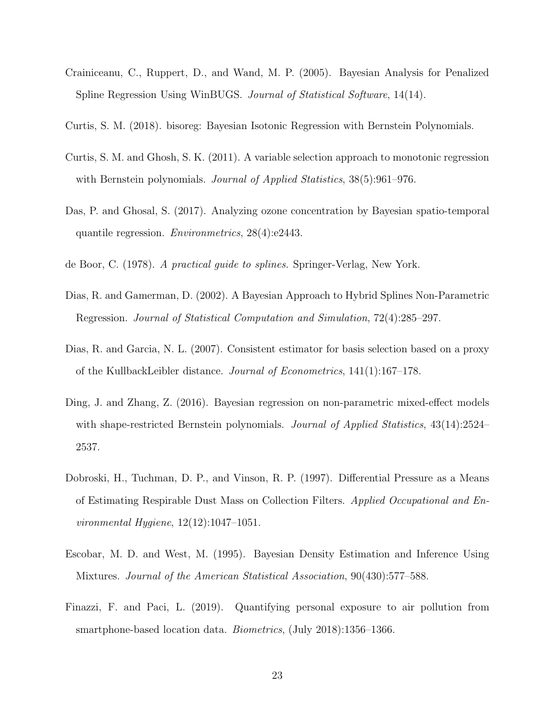- <span id="page-22-6"></span>Crainiceanu, C., Ruppert, D., and Wand, M. P. (2005). Bayesian Analysis for Penalized Spline Regression Using WinBUGS. *Journal of Statistical Software*, 14(14).
- <span id="page-22-8"></span>Curtis, S. M. (2018). bisoreg: Bayesian Isotonic Regression with Bernstein Polynomials.
- <span id="page-22-1"></span>Curtis, S. M. and Ghosh, S. K. (2011). A variable selection approach to monotonic regression with Bernstein polynomials. *Journal of Applied Statistics*, 38(5):961–976.
- <span id="page-22-9"></span>Das, P. and Ghosal, S. (2017). Analyzing ozone concentration by Bayesian spatio-temporal quantile regression. *Environmetrics*, 28(4):e2443.
- <span id="page-22-7"></span>de Boor, C. (1978). *A practical guide to splines*. Springer-Verlag, New York.
- <span id="page-22-4"></span>Dias, R. and Gamerman, D. (2002). A Bayesian Approach to Hybrid Splines Non-Parametric Regression. *Journal of Statistical Computation and Simulation*, 72(4):285–297.
- <span id="page-22-5"></span>Dias, R. and Garcia, N. L. (2007). Consistent estimator for basis selection based on a proxy of the KullbackLeibler distance. *Journal of Econometrics*, 141(1):167–178.
- <span id="page-22-2"></span>Ding, J. and Zhang, Z. (2016). Bayesian regression on non-parametric mixed-effect models with shape-restricted Bernstein polynomials. *Journal of Applied Statistics*, 43(14):2524– 2537.
- <span id="page-22-0"></span>Dobroski, H., Tuchman, D. P., and Vinson, R. P. (1997). Differential Pressure as a Means of Estimating Respirable Dust Mass on Collection Filters. *Applied Occupational and Environmental Hygiene*, 12(12):1047–1051.
- <span id="page-22-3"></span>Escobar, M. D. and West, M. (1995). Bayesian Density Estimation and Inference Using Mixtures. *Journal of the American Statistical Association*, 90(430):577–588.
- <span id="page-22-10"></span>Finazzi, F. and Paci, L. (2019). Quantifying personal exposure to air pollution from smartphone-based location data. *Biometrics*, (July 2018):1356–1366.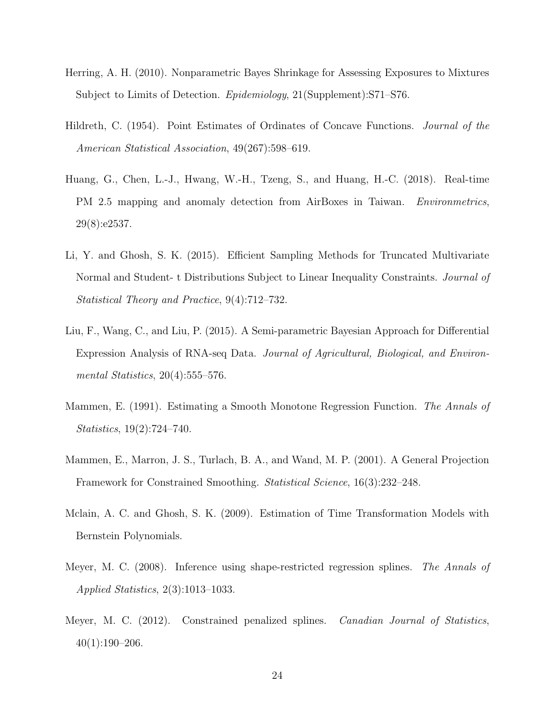- <span id="page-23-5"></span>Herring, A. H. (2010). Nonparametric Bayes Shrinkage for Assessing Exposures to Mixtures Subject to Limits of Detection. *Epidemiology*, 21(Supplement):S71–S76.
- <span id="page-23-0"></span>Hildreth, C. (1954). Point Estimates of Ordinates of Concave Functions. *Journal of the American Statistical Association*, 49(267):598–619.
- <span id="page-23-9"></span>Huang, G., Chen, L.-J., Hwang, W.-H., Tzeng, S., and Huang, H.-C. (2018). Real-time PM 2.5 mapping and anomaly detection from AirBoxes in Taiwan. *Environmetrics*, 29(8):e2537.
- <span id="page-23-7"></span>Li, Y. and Ghosh, S. K. (2015). Efficient Sampling Methods for Truncated Multivariate Normal and Student- t Distributions Subject to Linear Inequality Constraints. *Journal of Statistical Theory and Practice*, 9(4):712–732.
- <span id="page-23-6"></span>Liu, F., Wang, C., and Liu, P. (2015). A Semi-parametric Bayesian Approach for Differential Expression Analysis of RNA-seq Data. *Journal of Agricultural, Biological, and Environmental Statistics*, 20(4):555–576.
- <span id="page-23-1"></span>Mammen, E. (1991). Estimating a Smooth Monotone Regression Function. *The Annals of Statistics*, 19(2):724–740.
- <span id="page-23-2"></span>Mammen, E., Marron, J. S., Turlach, B. A., and Wand, M. P. (2001). A General Projection Framework for Constrained Smoothing. *Statistical Science*, 16(3):232–248.
- <span id="page-23-8"></span>Mclain, A. C. and Ghosh, S. K. (2009). Estimation of Time Transformation Models with Bernstein Polynomials.
- <span id="page-23-3"></span>Meyer, M. C. (2008). Inference using shape-restricted regression splines. *The Annals of Applied Statistics*, 2(3):1013–1033.
- <span id="page-23-4"></span>Meyer, M. C. (2012). Constrained penalized splines. *Canadian Journal of Statistics*,  $40(1):190-206.$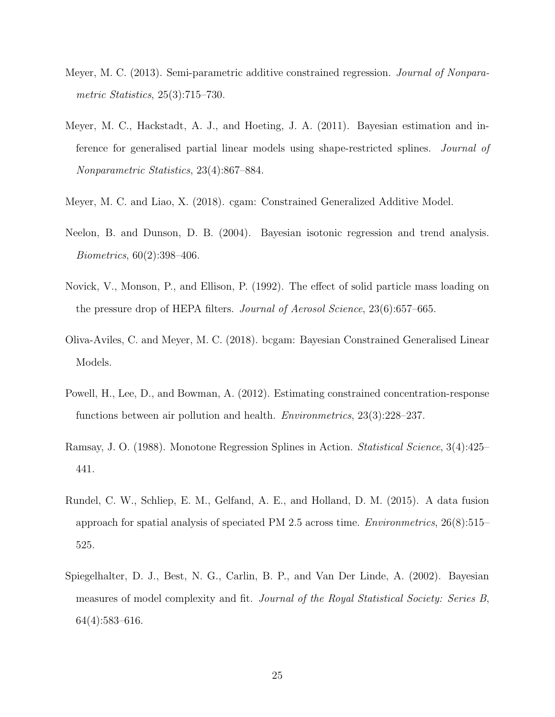- <span id="page-24-5"></span>Meyer, M. C. (2013). Semi-parametric additive constrained regression. *Journal of Nonparametric Statistics*, 25(3):715–730.
- <span id="page-24-2"></span>Meyer, M. C., Hackstadt, A. J., and Hoeting, J. A. (2011). Bayesian estimation and inference for generalised partial linear models using shape-restricted splines. *Journal of Nonparametric Statistics*, 23(4):867–884.
- <span id="page-24-6"></span>Meyer, M. C. and Liao, X. (2018). cgam: Constrained Generalized Additive Model.
- <span id="page-24-4"></span>Neelon, B. and Dunson, D. B. (2004). Bayesian isotonic regression and trend analysis. *Biometrics*, 60(2):398–406.
- <span id="page-24-0"></span>Novick, V., Monson, P., and Ellison, P. (1992). The effect of solid particle mass loading on the pressure drop of HEPA filters. *Journal of Aerosol Science*, 23(6):657–665.
- <span id="page-24-7"></span>Oliva-Aviles, C. and Meyer, M. C. (2018). bcgam: Bayesian Constrained Generalised Linear Models.
- <span id="page-24-3"></span>Powell, H., Lee, D., and Bowman, A. (2012). Estimating constrained concentration-response functions between air pollution and health. *Environmetrics*, 23(3):228–237.
- <span id="page-24-1"></span>Ramsay, J. O. (1988). Monotone Regression Splines in Action. *Statistical Science*, 3(4):425– 441.
- <span id="page-24-9"></span>Rundel, C. W., Schliep, E. M., Gelfand, A. E., and Holland, D. M. (2015). A data fusion approach for spatial analysis of speciated PM 2.5 across time. *Environmetrics*, 26(8):515– 525.
- <span id="page-24-8"></span>Spiegelhalter, D. J., Best, N. G., Carlin, B. P., and Van Der Linde, A. (2002). Bayesian measures of model complexity and fit. *Journal of the Royal Statistical Society: Series B*, 64(4):583–616.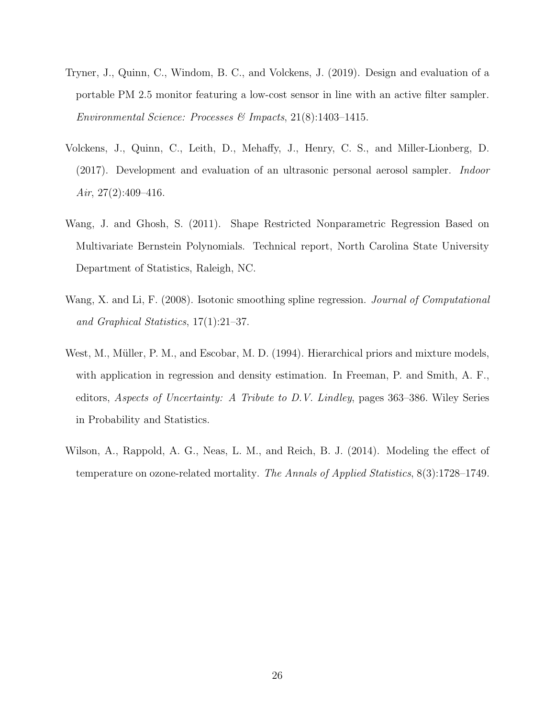- <span id="page-25-0"></span>Tryner, J., Quinn, C., Windom, B. C., and Volckens, J. (2019). Design and evaluation of a portable PM 2.5 monitor featuring a low-cost sensor in line with an active filter sampler. *Environmental Science: Processes & Impacts*, 21(8):1403–1415.
- <span id="page-25-1"></span>Volckens, J., Quinn, C., Leith, D., Mehaffy, J., Henry, C. S., and Miller-Lionberg, D. (2017). Development and evaluation of an ultrasonic personal aerosol sampler. *Indoor Air*, 27(2):409–416.
- <span id="page-25-3"></span>Wang, J. and Ghosh, S. (2011). Shape Restricted Nonparametric Regression Based on Multivariate Bernstein Polynomials. Technical report, North Carolina State University Department of Statistics, Raleigh, NC.
- <span id="page-25-2"></span>Wang, X. and Li, F. (2008). Isotonic smoothing spline regression. *Journal of Computational and Graphical Statistics*, 17(1):21–37.
- <span id="page-25-5"></span>West, M., Müller, P. M., and Escobar, M. D. (1994). Hierarchical priors and mixture models, with application in regression and density estimation. In Freeman, P. and Smith, A. F., editors, *Aspects of Uncertainty: A Tribute to D.V. Lindley*, pages 363–386. Wiley Series in Probability and Statistics.
- <span id="page-25-4"></span>Wilson, A., Rappold, A. G., Neas, L. M., and Reich, B. J. (2014). Modeling the effect of temperature on ozone-related mortality. *The Annals of Applied Statistics*, 8(3):1728–1749.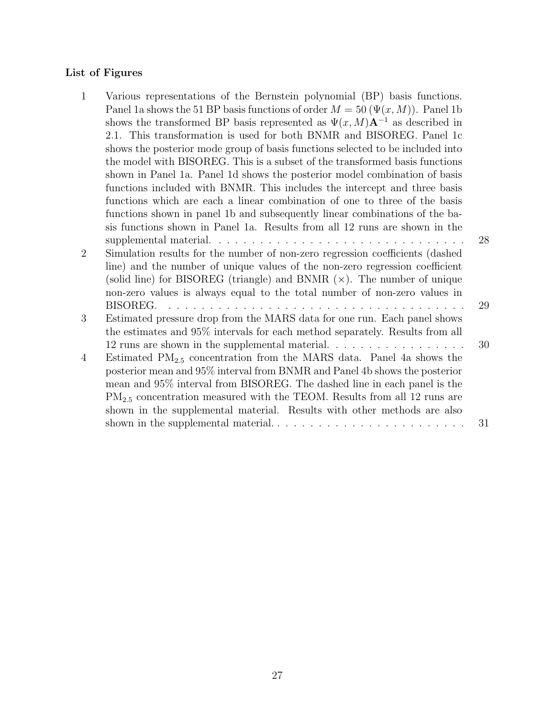## List of Figures

| $\mathbf{1}$ | Various representations of the Bernstein polynomial (BP) basis functions.                  |    |
|--------------|--------------------------------------------------------------------------------------------|----|
|              | Panel 1a shows the 51 BP basis functions of order $M = 50 \ (\Psi(x, M))$ . Panel 1b       |    |
|              | shows the transformed BP basis represented as $\Psi(x, M) \mathbf{A}^{-1}$ as described in |    |
|              | 2.1. This transformation is used for both BNMR and BISOREG. Panel 1c                       |    |
|              | shows the posterior mode group of basis functions selected to be included into             |    |
|              | the model with BISOREG. This is a subset of the transformed basis functions                |    |
|              | shown in Panel 1a. Panel 1d shows the posterior model combination of basis                 |    |
|              | functions included with BNMR. This includes the intercept and three basis                  |    |
|              | functions which are each a linear combination of one to three of the basis                 |    |
|              | functions shown in panel 1b and subsequently linear combinations of the ba-                |    |
|              | sis functions shown in Panel 1a. Results from all 12 runs are shown in the                 |    |
|              |                                                                                            | 28 |
| 2            | Simulation results for the number of non-zero regression coefficients (dashed              |    |
|              | line) and the number of unique values of the non-zero regression coefficient               |    |
|              | (solid line) for BISOREG (triangle) and BNMR $(x)$ . The number of unique                  |    |
|              | non-zero values is always equal to the total number of non-zero values in                  |    |
|              |                                                                                            | 29 |
| 3            | Estimated pressure drop from the MARS data for one run. Each panel shows                   |    |
|              | the estimates and 95% intervals for each method separately. Results from all               |    |
|              |                                                                                            | 30 |
| 4            | Estimated $PM_{2.5}$ concentration from the MARS data. Panel 4a shows the                  |    |
|              | posterior mean and 95% interval from BNMR and Panel 4b shows the posterior                 |    |
|              | mean and 95% interval from BISOREG. The dashed line in each panel is the                   |    |
|              | $PM_{2.5}$ concentration measured with the TEOM. Results from all 12 runs are              |    |
|              | shown in the supplemental material. Results with other methods are also                    |    |
|              |                                                                                            | 31 |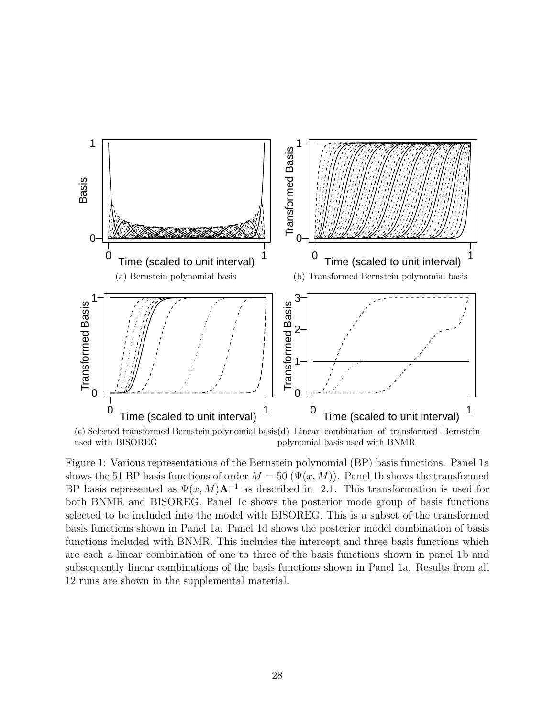<span id="page-27-3"></span><span id="page-27-2"></span><span id="page-27-1"></span><span id="page-27-0"></span>

<span id="page-27-4"></span>(c) Selected transformed Bernstein polynomial basis (d) Linear combination of transformed Bernstein used with BISOREG polynomial basis used with BNMR

Figure 1: Various representations of the Bernstein polynomial (BP) basis functions. Panel [1a](#page-27-0) shows the 51 BP basis functions of order  $M = 50 \ (\Psi(x, M))$ . Panel [1b](#page-27-1) shows the transformed BP basis represented as  $\Psi(x, M)A^{-1}$  as described in [2.1.](#page-4-1) This transformation is used for both BNMR and BISOREG. Panel [1c](#page-27-3) shows the posterior mode group of basis functions selected to be included into the model with BISOREG. This is a subset of the transformed basis functions shown in Panel [1a.](#page-27-0) Panel [1d](#page-27-4) shows the posterior model combination of basis functions included with BNMR. This includes the intercept and three basis functions which are each a linear combination of one to three of the basis functions shown in panel [1b](#page-27-1) and subsequently linear combinations of the basis functions shown in Panel [1a.](#page-27-0) Results from all 12 runs are shown in the supplemental material.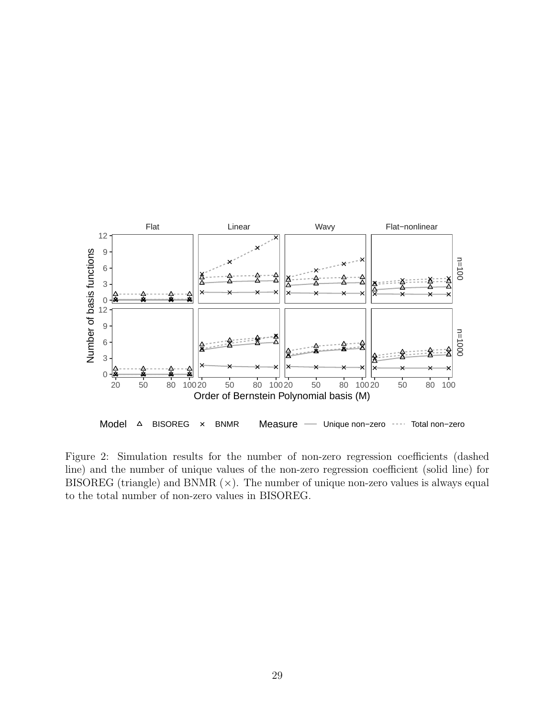<span id="page-28-0"></span>

Figure 2: Simulation results for the number of non-zero regression coefficients (dashed line) and the number of unique values of the non-zero regression coefficient (solid line) for BISOREG (triangle) and BNMR  $(x)$ . The number of unique non-zero values is always equal to the total number of non-zero values in BISOREG.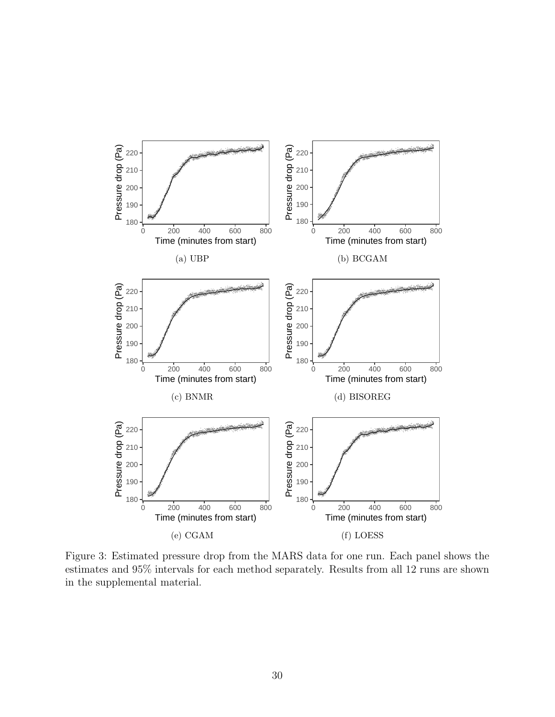<span id="page-29-0"></span>

Figure 3: Estimated pressure drop from the MARS data for one run. Each panel shows the estimates and 95% intervals for each method separately. Results from all 12 runs are shown in the supplemental material.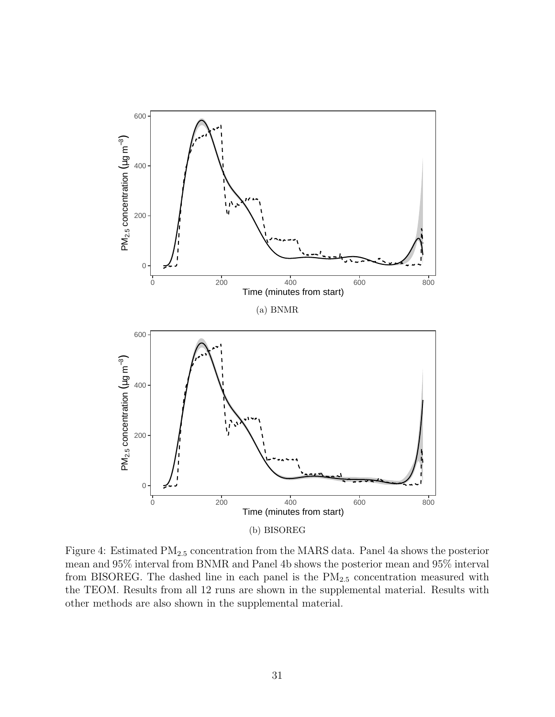<span id="page-30-2"></span><span id="page-30-1"></span><span id="page-30-0"></span>

Figure 4: Estimated PM2.<sup>5</sup> concentration from the MARS data. Panel [4a](#page-30-1) shows the posterior mean and 95% interval from BNMR and Panel [4b](#page-30-2) shows the posterior mean and 95% interval from BISOREG. The dashed line in each panel is the  $PM_{2.5}$  concentration measured with the TEOM. Results from all 12 runs are shown in the supplemental material. Results with other methods are also shown in the supplemental material.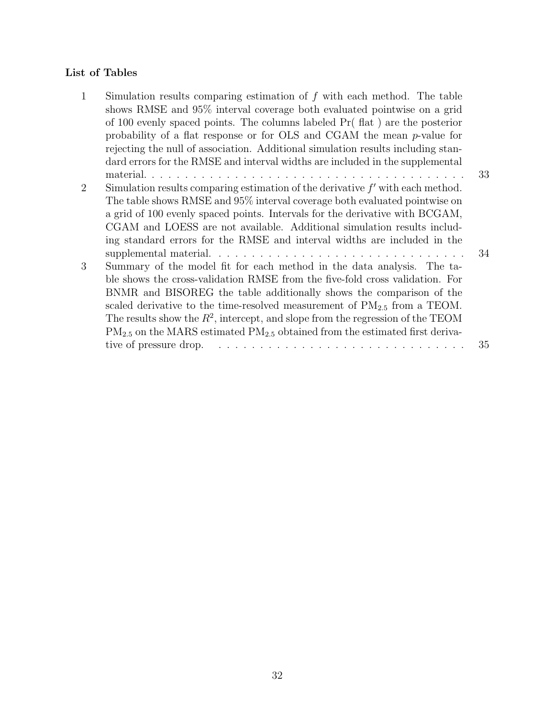## List of Tables

| $\mathbf{1}$ | Simulation results comparing estimation of $f$ with each method. The table            |    |
|--------------|---------------------------------------------------------------------------------------|----|
|              | shows RMSE and 95% interval coverage both evaluated pointwise on a grid               |    |
|              | of 100 evenly spaced points. The columns labeled $Pr(fhat)$ are the posterior         |    |
|              | probability of a flat response or for $OLS$ and $CGAM$ the mean $p$ -value for        |    |
|              | rejecting the null of association. Additional simulation results including stan-      |    |
|              | dard errors for the RMSE and interval widths are included in the supplemental         |    |
|              |                                                                                       | 33 |
| 2            | Simulation results comparing estimation of the derivative $f'$ with each method.      |    |
|              | The table shows RMSE and 95% interval coverage both evaluated pointwise on            |    |
|              | a grid of 100 evenly spaced points. Intervals for the derivative with BCGAM,          |    |
|              | CGAM and LOESS are not available. Additional simulation results includ-               |    |
|              | ing standard errors for the RMSE and interval widths are included in the              |    |
|              |                                                                                       | 34 |
| 3            | Summary of the model fit for each method in the data analysis. The ta-                |    |
|              | ble shows the cross-validation RMSE from the five-fold cross validation. For          |    |
|              | BNMR and BISOREG the table additionally shows the comparison of the                   |    |
|              | scaled derivative to the time-resolved measurement of $PM_{2.5}$ from a TEOM.         |    |
|              | The results show the $R^2$ , intercept, and slope from the regression of the TEOM     |    |
|              | $PM_{2.5}$ on the MARS estimated $PM_{2.5}$ obtained from the estimated first deriva- |    |
|              | tive of pressure drop.                                                                | 35 |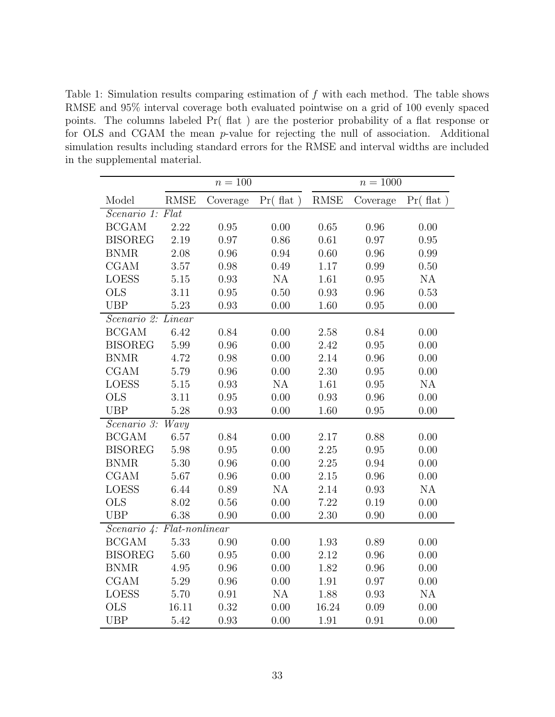<span id="page-32-0"></span>Table 1: Simulation results comparing estimation of  $f$  with each method. The table shows RMSE and 95% interval coverage both evaluated pointwise on a grid of 100 evenly spaced points. The columns labeled Pr( flat ) are the posterior probability of a flat response or for OLS and CGAM the mean p-value for rejecting the null of association. Additional simulation results including standard errors for the RMSE and interval widths are included in the supplemental material.

|                                     | $n = 100$   |          | $n = 1000$           |             |          |          |  |
|-------------------------------------|-------------|----------|----------------------|-------------|----------|----------|--|
| Model                               | <b>RMSE</b> | Coverage | $Pr(f_{\text{lat}})$ | <b>RMSE</b> | Coverage | Pr(fhat) |  |
| Scenario 1: Flat                    |             |          |                      |             |          |          |  |
| <b>BCGAM</b>                        | 2.22        | 0.95     | 0.00                 | 0.65        | 0.96     | 0.00     |  |
| <b>BISOREG</b>                      | 2.19        | 0.97     | $0.86\,$             | $0.61\,$    | 0.97     | 0.95     |  |
| <b>BNMR</b>                         | $2.08\,$    | $0.96\,$ | $0.94\,$             | 0.60        | $0.96\,$ | 0.99     |  |
| CGAM                                | $3.57\,$    | 0.98     | 0.49                 | $1.17\,$    | 0.99     | 0.50     |  |
| <b>LOESS</b>                        | $5.15\,$    | 0.93     | NA                   | 1.61        | $0.95\,$ | NA       |  |
| <b>OLS</b>                          | 3.11        | 0.95     | $0.50\,$             | 0.93        | $0.96\,$ | 0.53     |  |
| <b>UBP</b>                          | 5.23        | 0.93     | $0.00\,$             | 1.60        | $0.95\,$ | 0.00     |  |
| Scenario 2: Linear                  |             |          |                      |             |          |          |  |
| <b>BCGAM</b>                        | 6.42        | 0.84     | $0.00\,$             | $2.58\,$    | $0.84\,$ | 0.00     |  |
| <b>BISOREG</b>                      | $5.99\,$    | 0.96     | $0.00\,$             | 2.42        | 0.95     | 0.00     |  |
| <b>BNMR</b>                         | 4.72        | 0.98     | $0.00\,$             | 2.14        | $0.96\,$ | 0.00     |  |
| <b>CGAM</b>                         | 5.79        | 0.96     | 0.00                 | 2.30        | 0.95     | 0.00     |  |
| <b>LOESS</b>                        | $5.15\,$    | 0.93     | NA                   | 1.61        | $0.95\,$ | NA       |  |
| <b>OLS</b>                          | $3.11\,$    | 0.95     | 0.00                 | 0.93        | $0.96\,$ | 0.00     |  |
| <b>UBP</b>                          | 5.28        | 0.93     | 0.00                 | 1.60        | $0.95\,$ | 0.00     |  |
| Scenario 3:<br>Wavy                 |             |          |                      |             |          |          |  |
| <b>BCGAM</b>                        | 6.57        | 0.84     | 0.00                 | 2.17        | 0.88     | 0.00     |  |
| <b>BISOREG</b>                      | 5.98        | 0.95     | 0.00                 | 2.25        | $0.95\,$ | 0.00     |  |
| <b>BNMR</b>                         | 5.30        | 0.96     | $0.00\,$             | $2.25\,$    | 0.94     | 0.00     |  |
| <b>CGAM</b>                         | 5.67        | $0.96\,$ | $0.00\,$             | $2.15\,$    | $0.96\,$ | 0.00     |  |
| <b>LOESS</b>                        | 6.44        | 0.89     | NA                   | 2.14        | 0.93     | NA       |  |
| <b>OLS</b>                          | 8.02        | 0.56     | $0.00\,$             | 7.22        | $0.19\,$ | 0.00     |  |
| <b>UBP</b>                          | 6.38        | 0.90     | 0.00                 | 2.30        | 0.90     | 0.00     |  |
| $Scenario 4: Flat\text{-}nonlinear$ |             |          |                      |             |          |          |  |
| <b>BCGAM</b>                        | 5.33        | 0.90     | 0.00                 | 1.93        | 0.89     | 0.00     |  |
| <b>BISOREG</b>                      | $5.60\,$    | 0.95     | 0.00                 | 2.12        | $0.96\,$ | 0.00     |  |
| <b>BNMR</b>                         | $4.95\,$    | 0.96     | $0.00\,$             | 1.82        | $0.96\,$ | 0.00     |  |
| CGAM                                | $5.29\,$    | 0.96     | $0.00\,$             | $1.91\,$    | $0.97\,$ | 0.00     |  |
| <b>LOESS</b>                        | 5.70        | 0.91     | NA                   | 1.88        | $0.93\,$ | NA       |  |
| <b>OLS</b>                          | 16.11       | 0.32     | 0.00                 | 16.24       | 0.09     | 0.00     |  |
| <b>UBP</b>                          | 5.42        | 0.93     | 0.00                 | 1.91        | 0.91     | 0.00     |  |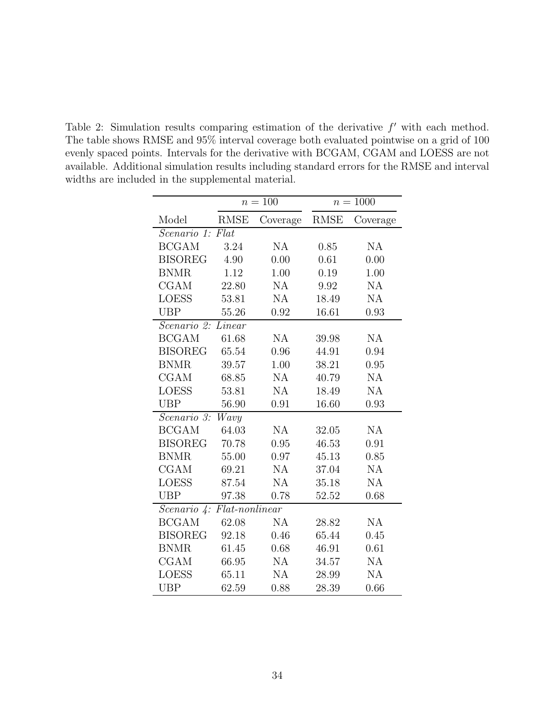<span id="page-33-0"></span>Table 2: Simulation results comparing estimation of the derivative  $f'$  with each method. The table shows RMSE and 95% interval coverage both evaluated pointwise on a grid of 100 evenly spaced points. Intervals for the derivative with BCGAM, CGAM and LOESS are not available. Additional simulation results including standard errors for the RMSE and interval widths are included in the supplemental material.

|                                     | $n = 100$          |           | $n = 1000$  |               |  |  |  |
|-------------------------------------|--------------------|-----------|-------------|---------------|--|--|--|
| Model                               | <b>RMSE</b>        | Coverage  | <b>RMSE</b> | Coverage      |  |  |  |
| Scenario 1:                         |                    |           |             |               |  |  |  |
| <b>BCGAM</b>                        | 3.24               | NA        | 0.85        | $\mathrm{NA}$ |  |  |  |
| <b>BISOREG</b>                      | 4.90               | 0.00      | 0.61        | 0.00          |  |  |  |
| <b>BNMR</b>                         | 1.12               | 1.00      | 0.19        | 1.00          |  |  |  |
| <b>CGAM</b>                         | 22.80              | NA        | 9.92        | NA            |  |  |  |
| <b>LOESS</b>                        | 53.81              | NA        | 18.49       | NA            |  |  |  |
| <b>UBP</b>                          | 55.26              | 0.92      | 16.61       | 0.93          |  |  |  |
| $\overline{Scenario}$ 2:<br>Linear  |                    |           |             |               |  |  |  |
| <b>BCGAM</b>                        | 61.68              | NA        | 39.98       | NA            |  |  |  |
| <b>BISOREG</b>                      | 65.54              | 0.96      | 44.91       | 0.94          |  |  |  |
| <b>BNMR</b>                         | 39.57              | 1.00      | 38.21       | 0.95          |  |  |  |
| <b>CGAM</b>                         | 68.85              | NA        | 40.79       | NA            |  |  |  |
| <b>LOESS</b>                        | 53.81              | NA        | 18.49       | <b>NA</b>     |  |  |  |
| <b>UBP</b>                          | 56.90              | 0.91      | 16.60       | 0.93          |  |  |  |
| Scenario 3:                         | $\overline{W}$ avy |           |             |               |  |  |  |
| <b>BCGAM</b>                        | 64.03              | <b>NA</b> | 32.05       | NA            |  |  |  |
| <b>BISOREG</b>                      | 70.78              | 0.95      | 46.53       | 0.91          |  |  |  |
| <b>BNMR</b>                         | 55.00              | 0.97      | 45.13       | 0.85          |  |  |  |
| <b>CGAM</b>                         | 69.21              | <b>NA</b> | 37.04       | NA            |  |  |  |
| <b>LOESS</b>                        | 87.54              | NA        | 35.18       | NA            |  |  |  |
| <b>UBP</b>                          | 97.38              | 0.78      | 52.52       | 0.68          |  |  |  |
| $Flat$ -nonlinear<br>Scenario $4$ : |                    |           |             |               |  |  |  |
| <b>BCGAM</b>                        | 62.08              | NA        | 28.82       | NA            |  |  |  |
| <b>BISOREG</b>                      | 92.18              | 0.46      | 65.44       | 0.45          |  |  |  |
| <b>BNMR</b>                         | 61.45              | 0.68      | 46.91       | 0.61          |  |  |  |
| <b>CGAM</b>                         | 66.95              | NA        | 34.57       | NA            |  |  |  |
| <b>LOESS</b>                        | 65.11              | NA        | 28.99       | NA            |  |  |  |
| <b>UBP</b>                          | 62.59              | 0.88      | 28.39       | 0.66          |  |  |  |